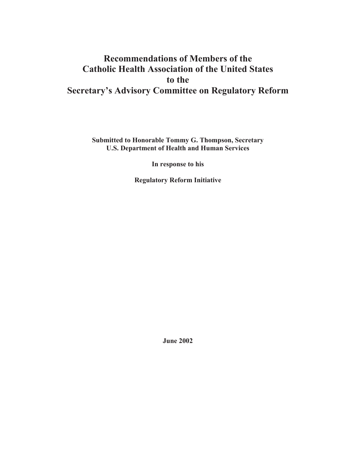# **Recommendations of Members of the Catholic Health Association of the United States to the Secretary's Advisory Committee on Regulatory Reform**

**Submitted to Honorable Tommy G. Thompson, Secretary U.S. Department of Health and Human Services**

**In response to his**

**Regulatory Reform Initiative**

**June 2002**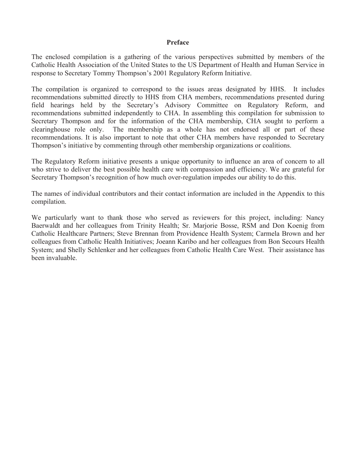#### **Preface**

The enclosed compilation is a gathering of the various perspectives submitted by members of the Catholic Health Association of the United States to the US Department of Health and Human Service in response to Secretary Tommy Thompson's 2001 Regulatory Reform Initiative.

The compilation is organized to correspond to the issues areas designated by HHS. It includes recommendations submitted directly to HHS from CHA members, recommendations presented during field hearings held by the Secretary's Advisory Committee on Regulatory Reform, and recommendations submitted independently to CHA. In assembling this compilation for submission to Secretary Thompson and for the information of the CHA membership, CHA sought to perform a clearinghouse role only. The membership as a whole has not endorsed all or part of these recommendations. It is also important to note that other CHA members have responded to Secretary Thompson's initiative by commenting through other membership organizations or coalitions.

The Regulatory Reform initiative presents a unique opportunity to influence an area of concern to all who strive to deliver the best possible health care with compassion and efficiency. We are grateful for Secretary Thompson's recognition of how much over-regulation impedes our ability to do this.

The names of individual contributors and their contact information are included in the Appendix to this compilation.

We particularly want to thank those who served as reviewers for this project, including: Nancy Baerwaldt and her colleagues from Trinity Health; Sr. Marjorie Bosse, RSM and Don Koenig from Catholic Healthcare Partners; Steve Brennan from Providence Health System; Carmela Brown and her colleagues from Catholic Health Initiatives; Joeann Karibo and her colleagues from Bon Secours Health System; and Shelly Schlenker and her colleagues from Catholic Health Care West. Their assistance has been invaluable.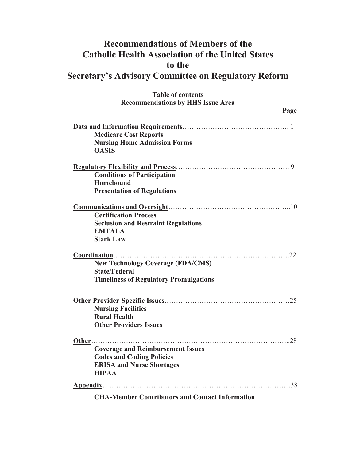# **Recommendations of Members of the Catholic Health Association of the United States to the Secretary's Advisory Committee on Regulatory Reform**

| <b>Table of contents</b>                               |
|--------------------------------------------------------|
| <b>Recommendations by HHS Issue Area</b>               |
| Page                                                   |
|                                                        |
| <b>Medicare Cost Reports</b>                           |
| <b>Nursing Home Admission Forms</b>                    |
| <b>OASIS</b>                                           |
|                                                        |
| <b>Conditions of Participation</b>                     |
| <b>Homebound</b>                                       |
| <b>Presentation of Regulations</b>                     |
|                                                        |
| <b>Certification Process</b>                           |
| <b>Seclusion and Restraint Regulations</b>             |
| <b>EMTALA</b>                                          |
| <b>Stark Law</b>                                       |
|                                                        |
| <b>New Technology Coverage (FDA/CMS)</b>               |
| <b>State/Federal</b>                                   |
| <b>Timeliness of Regulatory Promulgations</b>          |
|                                                        |
| <b>Nursing Facilities</b>                              |
| <b>Rural Health</b>                                    |
| <b>Other Providers Issues</b>                          |
| .28                                                    |
| <b>Coverage and Reimbursement Issues</b>               |
| <b>Codes and Coding Policies</b>                       |
| <b>ERISA and Nurse Shortages</b>                       |
| <b>HIPAA</b>                                           |
| .38<br>Appendix                                        |
| <b>CHA-Member Contributors and Contact Information</b> |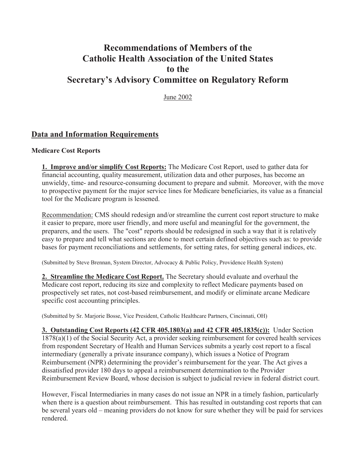# **Recommendations of Members of the Catholic Health Association of the United States to the Secretary's Advisory Committee on Regulatory Reform**

June 2002

# **Data and Information Requirements**

#### **Medicare Cost Reports**

**1. Improve and/or simplify Cost Reports:** The Medicare Cost Report, used to gather data for financial accounting, quality measurement, utilization data and other purposes, has become an unwieldy, time- and resource-consuming document to prepare and submit. Moreover, with the move to prospective payment for the major service lines for Medicare beneficiaries, its value as a financial tool for the Medicare program is lessened.

Recommendation: CMS should redesign and/or streamline the current cost report structure to make it easier to prepare, more user friendly, and more useful and meaningful for the government, the preparers, and the users. The "cost" reports should be redesigned in such a way that it is relatively easy to prepare and tell what sections are done to meet certain defined objectives such as: to provide bases for payment reconciliations and settlements, for setting rates, for setting general indices, etc.

(Submitted by Steve Brennan, System Director, Advocacy & Public Policy, Providence Health System)

**2. Streamline the Medicare Cost Report.** The Secretary should evaluate and overhaul the Medicare cost report, reducing its size and complexity to reflect Medicare payments based on prospectively set rates, not cost-based reimbursement, and modify or eliminate arcane Medicare specific cost accounting principles.

(Submitted by Sr. Marjorie Bosse, Vice President, Catholic Healthcare Partners, Cincinnati, OH)

**3. Outstanding Cost Reports (42 CFR 405.1803(a) and 42 CFR 405.1835(c)):** Under Section 1878(a)(1) of the Social Security Act, a provider seeking reimbursement for covered health services from respondent Secretary of Health and Human Services submits a yearly cost report to a fiscal intermediary (generally a private insurance company), which issues a Notice of Program Reimbursement (NPR) determining the provider's reimbursement for the year. The Act gives a dissatisfied provider 180 days to appeal a reimbursement determination to the Provider Reimbursement Review Board, whose decision is subject to judicial review in federal district court.

However, Fiscal Intermediaries in many cases do not issue an NPR in a timely fashion, particularly when there is a question about reimbursement. This has resulted in outstanding cost reports that can be several years old – meaning providers do not know for sure whether they will be paid for services rendered.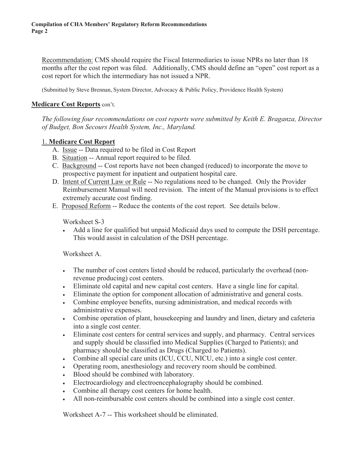Recommendation: CMS should require the Fiscal Intermediaries to issue NPRs no later than 18 months after the cost report was filed. Additionally, CMS should define an "open" cost report as a cost report for which the intermediary has not issued a NPR.

(Submitted by Steve Brennan, System Director, Advocacy & Public Policy, Providence Health System)

#### **Medicare Cost Reports** con't.

*The following four recommendations on cost reports were submitted by Keith E. Braganza, Director of Budget, Bon Secours Health System, Inc., Maryland.*

#### 1. **Medicare Cost Report**

- A. Issue -- Data required to be filed in Cost Report
- B. Situation -- Annual report required to be filed.
- C. Background -- Cost reports have not been changed (reduced) to incorporate the move to prospective payment for inpatient and outpatient hospital care.
- D. Intent of Current Law or Rule -- No regulations need to be changed. Only the Provider Reimbursement Manual will need revision. The intent of the Manual provisions is to effect extremely accurate cost finding.
- E. Proposed Reform -- Reduce the contents of the cost report. See details below.

#### Worksheet S-3

<sup>x</sup> Add a line for qualified but unpaid Medicaid days used to compute the DSH percentage. This would assist in calculation of the DSH percentage.

### Worksheet A.

- Fig. The number of cost centers listed should be reduced, particularly the overhead (nonrevenue producing) cost centers.
- <sup>x</sup> Eliminate old capital and new capital cost centers. Have a single line for capital.
- Eliminate the option for component allocation of administrative and general costs.
- Combine employee benefits, nursing administration, and medical records with administrative expenses.
- Combine operation of plant, housekeeping and laundry and linen, dietary and cafeteria into a single cost center.
- Eliminate cost centers for central services and supply, and pharmacy. Central services and supply should be classified into Medical Supplies (Charged to Patients); and pharmacy should be classified as Drugs (Charged to Patients).
- <sup>x</sup> Combine all special care units (ICU, CCU, NICU, etc.) into a single cost center.
- Operating room, anesthesiology and recovery room should be combined.
- Blood should be combined with laboratory.
- Electrocardiology and electroencephalography should be combined.
- Combine all therapy cost centers for home health.
- If All non-reimbursable cost centers should be combined into a single cost center.

Worksheet A-7 -- This worksheet should be eliminated.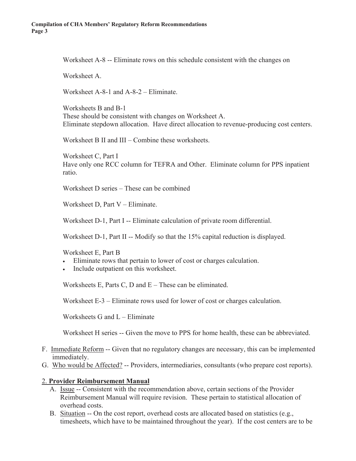Worksheet A-8 -- Eliminate rows on this schedule consistent with the changes on

Worksheet A

Worksheet A-8-1 and A-8-2 – Eliminate.

Worksheets B and B-1 These should be consistent with changes on Worksheet A. Eliminate stepdown allocation. Have direct allocation to revenue-producing cost centers.

Worksheet B II and III – Combine these worksheets.

Worksheet C, Part I Have only one RCC column for TEFRA and Other. Eliminate column for PPS inpatient ratio.

Worksheet D series – These can be combined

Worksheet D, Part V – Eliminate.

Worksheet D-1, Part I -- Eliminate calculation of private room differential.

Worksheet D-1, Part II -- Modify so that the 15% capital reduction is displayed.

Worksheet E, Part B

- Eliminate rows that pertain to lower of cost or charges calculation.
- Include outpatient on this worksheet.

Worksheets E, Parts C, D and E – These can be eliminated.

Worksheet E-3 – Eliminate rows used for lower of cost or charges calculation.

Worksheets G and L – Eliminate

Worksheet H series -- Given the move to PPS for home health, these can be abbreviated.

- F. Immediate Reform -- Given that no regulatory changes are necessary, this can be implemented immediately.
- G. Who would be Affected? -- Providers, intermediaries, consultants (who prepare cost reports).

#### 2. **Provider Reimbursement Manual**

- A. Issue -- Consistent with the recommendation above, certain sections of the Provider Reimbursement Manual will require revision. These pertain to statistical allocation of overhead costs.
- B. Situation  $-$  On the cost report, overhead costs are allocated based on statistics (e.g., timesheets, which have to be maintained throughout the year). If the cost centers are to be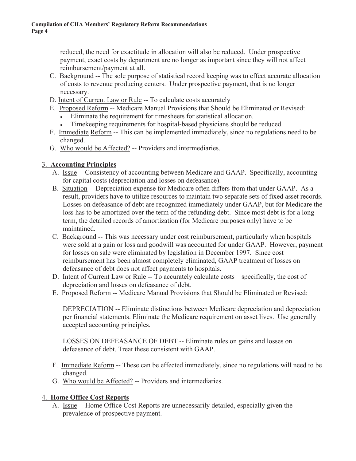reduced, the need for exactitude in allocation will also be reduced. Under prospective payment, exact costs by department are no longer as important since they will not affect reimbursement/payment at all.

- C. Background -- The sole purpose of statistical record keeping was to effect accurate allocation of costs to revenue producing centers. Under prospective payment, that is no longer necessary.
- D. Intent of Current Law or Rule -- To calculate costs accurately
- E. Proposed Reform -- Medicare Manual Provisions that Should be Eliminated or Revised:
	- Eliminate the requirement for timesheets for statistical allocation.
	- Timekeeping requirements for hospital-based physicians should be reduced.
- F. Immediate Reform -- This can be implemented immediately, since no regulations need to be changed.
- G. Who would be Affected? -- Providers and intermediaries.

# 3. **Accounting Principles**

- A. Issue -- Consistency of accounting between Medicare and GAAP. Specifically, accounting for capital costs (depreciation and losses on defeasance).
- B. Situation -- Depreciation expense for Medicare often differs from that under GAAP. As a result, providers have to utilize resources to maintain two separate sets of fixed asset records. Losses on defeasance of debt are recognized immediately under GAAP, but for Medicare the loss has to be amortized over the term of the refunding debt. Since most debt is for a long term, the detailed records of amortization (for Medicare purposes only) have to be maintained.
- C. Background -- This was necessary under cost reimbursement, particularly when hospitals were sold at a gain or loss and goodwill was accounted for under GAAP. However, payment for losses on sale were eliminated by legislation in December 1997. Since cost reimbursement has been almost completely eliminated, GAAP treatment of losses on defeasance of debt does not affect payments to hospitals.
- D. Intent of Current Law or Rule -- To accurately calculate costs specifically, the cost of depreciation and losses on defeasance of debt.
- E. Proposed Reform -- Medicare Manual Provisions that Should be Eliminated or Revised:

DEPRECIATION -- Eliminate distinctions between Medicare depreciation and depreciation per financial statements. Eliminate the Medicare requirement on asset lives. Use generally accepted accounting principles.

LOSSES ON DEFEASANCE OF DEBT -- Eliminate rules on gains and losses on defeasance of debt. Treat these consistent with GAAP.

- F. Immediate Reform -- These can be effected immediately, since no regulations will need to be changed.
- G. Who would be Affected? -- Providers and intermediaries.

# 4. **Home Office Cost Reports**

A. Issue -- Home Office Cost Reports are unnecessarily detailed, especially given the prevalence of prospective payment.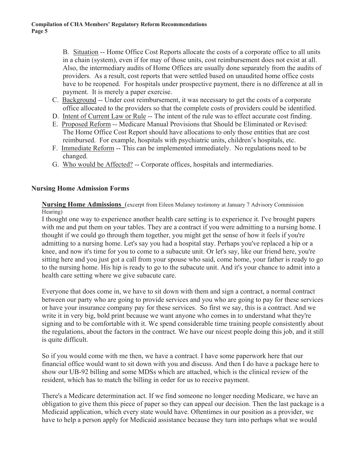B. Situation -- Home Office Cost Reports allocate the costs of a corporate office to all units in a chain (system), even if for may of those units, cost reimbursement does not exist at all. Also, the intermediary audits of Home Offices are usually done separately from the audits of providers. As a result, cost reports that were settled based on unaudited home office costs have to be reopened. For hospitals under prospective payment, there is no difference at all in payment. It is merely a paper exercise.

- C. Background -- Under cost reimbursement, it was necessary to get the costs of a corporate office allocated to the providers so that the complete costs of providers could be identified.
- D. Intent of Current Law or Rule -- The intent of the rule was to effect accurate cost finding.
- E. Proposed Reform -- Medicare Manual Provisions that Should be Eliminated or Revised: The Home Office Cost Report should have allocations to only those entities that are cost reimbursed. For example, hospitals with psychiatric units, children's hospitals, etc.
- F. Immediate Reform -- This can be implemented immediately. No regulations need to be changed.
- G. Who would be Affected? -- Corporate offices, hospitals and intermediaries.

#### **Nursing Home Admission Forms**

**Nursing Home Admissions** (excerpt from Eileen Mulaney testimony at January 7 Advisory Commission Hearing)

I thought one way to experience another health care setting is to experience it. I've brought papers with me and put them on your tables. They are a contract if you were admitting to a nursing home. I thought if we could go through them together, you might get the sense of how it feels if you're admitting to a nursing home. Let's say you had a hospital stay. Perhaps you've replaced a hip or a knee, and now it's time for you to come to a subacute unit. Or let's say, like our friend here, you're sitting here and you just got a call from your spouse who said, come home, your father is ready to go to the nursing home. His hip is ready to go to the subacute unit. And it's your chance to admit into a health care setting where we give subacute care.

Everyone that does come in, we have to sit down with them and sign a contract, a normal contract between our party who are going to provide services and you who are going to pay for these services or have your insurance company pay for these services. So first we say, this is a contract. And we write it in very big, bold print because we want anyone who comes in to understand what they're signing and to be comfortable with it. We spend considerable time training people consistently about the regulations, about the factors in the contract. We have our nicest people doing this job, and it still is quite difficult.

So if you would come with me then, we have a contract. I have some paperwork here that our financial office would want to sit down with you and discuss. And then I do have a package here to show our UB-92 billing and some MDSs which are attached, which is the clinical review of the resident, which has to match the billing in order for us to receive payment.

There's a Medicare determination act. If we find someone no longer needing Medicare, we have an obligation to give them this piece of paper so they can appeal our decision. Then the last package is a Medicaid application, which every state would have. Oftentimes in our position as a provider, we have to help a person apply for Medicaid assistance because they turn into perhaps what we would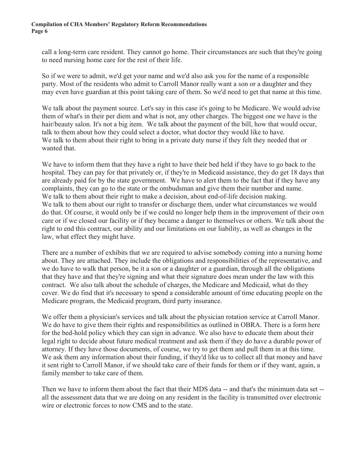call a long-term care resident. They cannot go home. Their circumstances are such that they're going to need nursing home care for the rest of their life.

So if we were to admit, we'd get your name and we'd also ask you for the name of a responsible party. Most of the residents who admit to Carroll Manor really want a son or a daughter and they may even have guardian at this point taking care of them. So we'd need to get that name at this time.

We talk about the payment source. Let's say in this case it's going to be Medicare. We would advise them of what's in their per diem and what is not, any other charges. The biggest one we have is the hair/beauty salon. It's not a big item. We talk about the payment of the bill, how that would occur, talk to them about how they could select a doctor, what doctor they would like to have. We talk to them about their right to bring in a private duty nurse if they felt they needed that or wanted that.

We have to inform them that they have a right to have their bed held if they have to go back to the hospital. They can pay for that privately or, if they're in Medicaid assistance, they do get 18 days that are already paid for by the state government. We have to alert them to the fact that if they have any complaints, they can go to the state or the ombudsman and give them their number and name. We talk to them about their right to make a decision, about end-of-life decision making. We talk to them about our right to transfer or discharge them, under what circumstances we would do that. Of course, it would only be if we could no longer help them in the improvement of their own care or if we closed our facility or if they became a danger to themselves or others. We talk about the right to end this contract, our ability and our limitations on our liability, as well as changes in the law, what effect they might have.

There are a number of exhibits that we are required to advise somebody coming into a nursing home about. They are attached. They include the obligations and responsibilities of the representative, and we do have to walk that person, be it a son or a daughter or a guardian, through all the obligations that they have and that they're signing and what their signature does mean under the law with this contract. We also talk about the schedule of charges, the Medicare and Medicaid, what do they cover. We do find that it's necessary to spend a considerable amount of time educating people on the Medicare program, the Medicaid program, third party insurance.

We offer them a physician's services and talk about the physician rotation service at Carroll Manor. We do have to give them their rights and responsibilities as outlined in OBRA. There is a form here for the bed-hold policy which they can sign in advance. We also have to educate them about their legal right to decide about future medical treatment and ask them if they do have a durable power of attorney. If they have those documents, of course, we try to get them and pull them in at this time. We ask them any information about their funding, if they'd like us to collect all that money and have it sent right to Carroll Manor, if we should take care of their funds for them or if they want, again, a family member to take care of them.

Then we have to inform them about the fact that their MDS data -- and that's the minimum data set - all the assessment data that we are doing on any resident in the facility is transmitted over electronic wire or electronic forces to now CMS and to the state.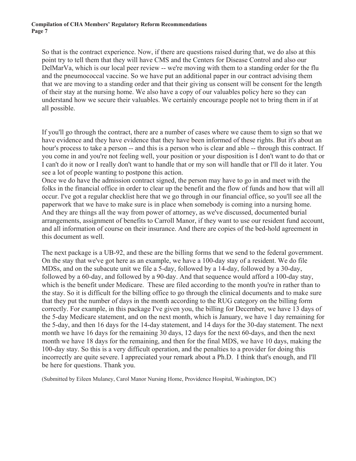So that is the contract experience. Now, if there are questions raised during that, we do also at this point try to tell them that they will have CMS and the Centers for Disease Control and also our DelMarVa, which is our local peer review -- we're moving with them to a standing order for the flu and the pneumococcal vaccine. So we have put an additional paper in our contract advising them that we are moving to a standing order and that their giving us consent will be consent for the length of their stay at the nursing home. We also have a copy of our valuables policy here so they can understand how we secure their valuables. We certainly encourage people not to bring them in if at all possible.

If you'll go through the contract, there are a number of cases where we cause them to sign so that we have evidence and they have evidence that they have been informed of these rights. But it's about an hour's process to take a person -- and this is a person who is clear and able -- through this contract. If you come in and you're not feeling well, your position or your disposition is I don't want to do that or I can't do it now or I really don't want to handle that or my son will handle that or I'll do it later. You see a lot of people wanting to postpone this action.

Once we do have the admission contract signed, the person may have to go in and meet with the folks in the financial office in order to clear up the benefit and the flow of funds and how that will all occur. I've got a regular checklist here that we go through in our financial office, so you'll see all the paperwork that we have to make sure is in place when somebody is coming into a nursing home. And they are things all the way from power of attorney, as we've discussed, documented burial arrangements, assignment of benefits to Carroll Manor, if they want to use our resident fund account, and all information of course on their insurance. And there are copies of the bed-hold agreement in this document as well.

The next package is a UB-92, and these are the billing forms that we send to the federal government. On the stay that we've got here as an example, we have a 100-day stay of a resident. We do file MDSs, and on the subacute unit we file a 5-day, followed by a 14-day, followed by a 30-day, followed by a 60-day, and followed by a 90-day. And that sequence would afford a 100-day stay, which is the benefit under Medicare. These are filed according to the month you're in rather than to the stay. So it is difficult for the billing office to go through the clinical documents and to make sure that they put the number of days in the month according to the RUG category on the billing form correctly. For example, in this package I've given you, the billing for December, we have 13 days of the 5-day Medicare statement, and on the next month, which is January, we have 1 day remaining for the 5-day, and then 16 days for the 14-day statement, and 14 days for the 30-day statement. The next month we have 16 days for the remaining 30 days, 12 days for the next 60-days, and then the next month we have 18 days for the remaining, and then for the final MDS, we have 10 days, making the 100-day stay. So this is a very difficult operation, and the penalties to a provider for doing this incorrectly are quite severe. I appreciated your remark about a Ph.D. I think that's enough, and I'll be here for questions. Thank you.

(Submitted by Eileen Mulaney, Carol Manor Nursing Home, Providence Hospital, Washington, DC)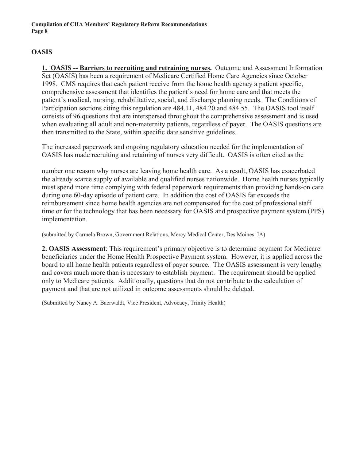## **OASIS**

**1. OASIS -- Barriers to recruiting and retraining nurses.** Outcome and Assessment Information Set (OASIS) has been a requirement of Medicare Certified Home Care Agencies since October 1998.CMS requires that each patient receive from the home health agency a patient specific, comprehensive assessment that identifies the patient's need for home care and that meets the patient's medical, nursing, rehabilitative, social, and discharge planning needs. The Conditions of Participation sections citing this regulation are 484.11, 484.20 and 484.55. The OASIS tool itself consists of 96 questions that are interspersed throughout the comprehensive assessment and is used when evaluating all adult and non-maternity patients, regardless of payer. The OASIS questions are then transmitted to the State, within specific date sensitive guidelines.

The increased paperwork and ongoing regulatory education needed for the implementation of OASIS has made recruiting and retaining of nurses very difficult. OASIS is often cited as the

number one reason why nurses are leaving home health care. As a result, OASIS has exacerbated the already scarce supply of available and qualified nurses nationwide. Home health nurses typically must spend more time complying with federal paperwork requirements than providing hands-on care during one 60-day episode of patient care. In addition the cost of OASIS far exceeds the reimbursement since home health agencies are not compensated for the cost of professional staff time or for the technology that has been necessary for OASIS and prospective payment system (PPS) implementation.

(submitted by Carmela Brown, Government Relations, Mercy Medical Center, Des Moines, IA)

**2. OASIS Assessment**: This requirement's primary objective is to determine payment for Medicare beneficiaries under the Home Health Prospective Payment system. However, it is applied across the board to all home health patients regardless of payer source. The OASIS assessment is very lengthy and covers much more than is necessary to establish payment. The requirement should be applied only to Medicare patients. Additionally, questions that do not contribute to the calculation of payment and that are not utilized in outcome assessments should be deleted.

(Submitted by Nancy A. Baerwaldt, Vice President, Advocacy, Trinity Health)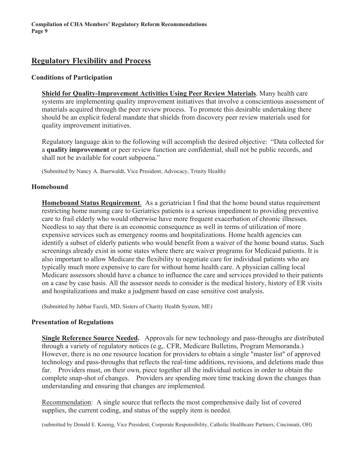# **Regulatory Flexibility and Process**

#### **Conditions of Participation**

**Shield for Quality-Improvement Activities Using Peer Review Materials**. Many health care systems are implementing quality improvement initiatives that involve a conscientious assessment of materials acquired through the peer review process. To promote this desirable undertaking there should be an explicit federal mandate that shields from discovery peer review materials used for quality improvement initiatives.

Regulatory language akin to the following will accomplish the desired objective: "Data collected for a **quality improvement** or peer review function are confidential, shall not be public records, and shall not be available for court subpoena."

(Submitted by Nancy A. Baerwaldt, Vice President, Advocacy, Trinity Health)

#### **Homebound**

**Homebound Status Requirement**. As a geriatrician I find that the home bound status requirement restricting home nursing care to Geriatrics patients is a serious impediment to providing preventive care to frail elderly who would otherwise have more frequent exacerbation of chronic illnesses. Needless to say that there is an economic consequence as well in terms of utilization of more expensive services such as emergency rooms and hospitalizations. Home health agencies can identify a subset of elderly patients who would benefit from a waiver of the home bound status. Such screenings already exist in some states where there are waiver programs for Medicaid patients. It is also important to allow Medicare the flexibility to negotiate care for individual patients who are typically much more expensive to care for without home health care. A physician calling local Medicare assessors should have a chance to influence the care and services provided to their patients on a case by case basis. All the assessor needs to consider is the medical history, history of ER visits and hospitalizations and make a judgment based on case sensitive cost analysis.

(Submitted by Jabbar Fazeli, MD, Sisters of Charity Health System, ME)

#### **Presentation of Regulations**

**Single Reference Source Needed.** Approvals for new technology and pass-throughs are distributed through a variety of regulatory notices (e.g,. CFR, Medicare Bulletins, Program Memoranda.) However, there is no one resource location for providers to obtain a single "master list" of approved technology and pass-throughs that reflects the real-time additions, revisions, and deletions made thus far. Providers must, on their own, piece together all the individual notices in order to obtain the complete snap-shot of changes. Providers are spending more time tracking down the changes than understanding and ensuring that changes are implemented.

Recommendation: A single source that reflects the most comprehensive daily list of covered supplies, the current coding, and status of the supply item is needed.

(submitted by Donald E. Koenig, Vice President, Corporate Responsibility, Catholic Healthcare Partners; Cincinnati, OH)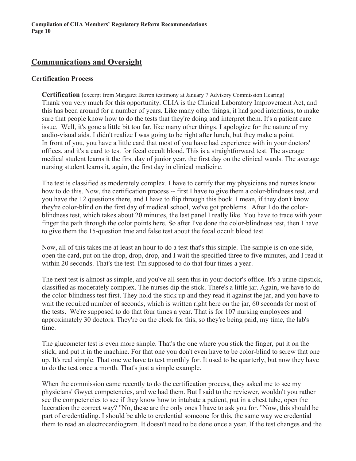# **Communications and Oversight**

#### **Certification Process**

**Certification** (excerpt from Margaret Barron testimony at January 7 Advisory Commission Hearing) Thank you very much for this opportunity. CLIA is the Clinical Laboratory Improvement Act, and this has been around for a number of years. Like many other things, it had good intentions, to make sure that people know how to do the tests that they're doing and interpret them. It's a patient care issue. Well, it's gone a little bit too far, like many other things. I apologize for the nature of my audio-visual aids. I didn't realize I was going to be right after lunch, but they make a point. In front of you, you have a little card that most of you have had experience with in your doctors' offices, and it's a card to test for fecal occult blood. This is a straightforward test. The average medical student learns it the first day of junior year, the first day on the clinical wards. The average nursing student learns it, again, the first day in clinical medicine.

The test is classified as moderately complex. I have to certify that my physicians and nurses know how to do this. Now, the certification process -- first I have to give them a color-blindness test, and you have the 12 questions there, and I have to flip through this book. I mean, if they don't know they're color-blind on the first day of medical school, we've got problems. After I do the colorblindness test, which takes about 20 minutes, the last panel I really like. You have to trace with your finger the path through the color points here. So after I've done the color-blindness test, then I have to give them the 15-question true and false test about the fecal occult blood test.

Now, all of this takes me at least an hour to do a test that's this simple. The sample is on one side, open the card, put on the drop, drop, drop, and I wait the specified three to five minutes, and I read it within 20 seconds. That's the test. I'm supposed to do that four times a year.

The next test is almost as simple, and you've all seen this in your doctor's office. It's a urine dipstick, classified as moderately complex. The nurses dip the stick. There's a little jar. Again, we have to do the color-blindness test first. They hold the stick up and they read it against the jar, and you have to wait the required number of seconds, which is written right here on the jar, 60 seconds for most of the tests. We're supposed to do that four times a year. That is for 107 nursing employees and approximately 30 doctors. They're on the clock for this, so they're being paid, my time, the lab's time.

The glucometer test is even more simple. That's the one where you stick the finger, put it on the stick, and put it in the machine. For that one you don't even have to be color-blind to screw that one up. It's real simple. That one we have to test monthly for. It used to be quarterly, but now they have to do the test once a month. That's just a simple example.

When the commission came recently to do the certification process, they asked me to see my physicians' Gwyet competencies, and we had them. But I said to the reviewer, wouldn't you rather see the competencies to see if they know how to intubate a patient, put in a chest tube, open the laceration the correct way? "No, these are the only ones I have to ask you for. "Now, this should be part of credentialing. I should be able to credential someone for this, the same way we credential them to read an electrocardiogram. It doesn't need to be done once a year. If the test changes and the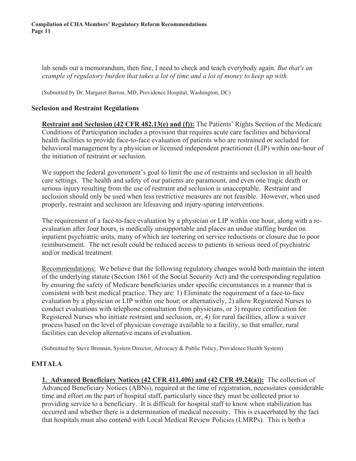lab sends out a memorandum, then fine, I need to check and teach everybody again. *But that's an example of regulatory burden that takes a lot of time and a lot of money to keep up with.*

(Submitted by Dr. Margaret Barron, MD, Providence Hospital, Washington, DC)

#### **Seclusion and Restraint Regulations**

**Restraint and Seclusion (42 CFR 482.13(e) and (f)):** The Patients' Rights Section of the Medicare Conditions of Participation includes a provision that requires acute care facilities and behavioral health facilities to provide face-to-face evaluation of patients who are restrained or secluded for behavioral management by a physician or licensed independent practitioner (LIP) within one-hour of the initiation of restraint or seclusion.

We support the federal government's goal to limit the use of restraints and seclusion in all health care settings. The health and safety of our patients are paramount, and even one tragic death or serious injury resulting from the use of restraint and seclusion is unacceptable. Restraint and seclusion should only be used when less restrictive measures are not feasible. However, when used properly, restraint and seclusion are lifesaving and injury-sparing interventions.

The requirement of a face-to-face evaluation by a physician or LIP within one hour, along with a reevaluation after four hours, is medically unsupportable and places an undue staffing burden on inpatient psychiatric units, many of which are teetering on service reductions or closure due to poor reimbursement. The net result could be reduced access to patients in serious need of psychiatric and/or medical treatment.

Recommendations: We believe that the following regulatory changes would both maintain the intent of the underlying statute (Section 1861 of the Social Security Act) and the corresponding regulation by ensuring the safety of Medicare beneficiaries under specific circumstances in a manner that is consistent with best medical practice. They are: 1) Eliminate the requirement of a face-to-face evaluation by a physician or LIP within one hour; or alternatively, 2) allow Registered Nurses to conduct evaluations with telephone consultation from physicians, or 3) require certification for Registered Nurses who initiate restraint and seclusion, or, 4) for rural facilities, allow a waiver process based on the level of physician coverage available to a facility, so that smaller, rural facilities can develop alternative means of evaluation.

(Submitted by Steve Brennan, System Director, Advocacy & Public Policy, Providence Health System)

## **EMTALA**

**1. Advanced Beneficiary Notices (42 CFR 411.406) and (42 CFR 49.24(a)):** The collection of Advanced Beneficiary Notices (ABNs), required at the time of registration, necessitates considerable time and effort on the part of hospital staff, particularly since they must be collected prior to providing service to a beneficiary. It is difficult for hospital staff to know when stabilization has occurred and whether there is a determination of medical necessity. This is exacerbated by the fact that hospitals must also contend with Local Medical Review Policies (LMRPs). This is both a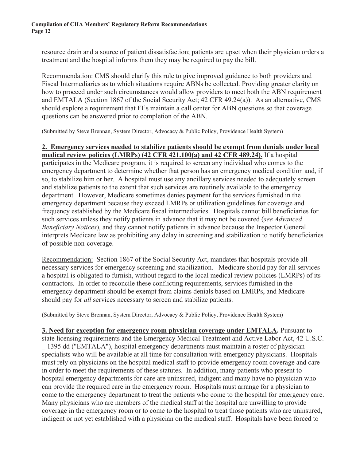resource drain and a source of patient dissatisfaction; patients are upset when their physician orders a treatment and the hospital informs them they may be required to pay the bill.

Recommendation: CMS should clarify this rule to give improved guidance to both providers and Fiscal Intermediaries as to which situations require ABNs be collected. Providing greater clarity on how to proceed under such circumstances would allow providers to meet both the ABN requirement and EMTALA (Section 1867 of the Social Security Act; 42 CFR 49.24(a)). As an alternative, CMS should explore a requirement that FI's maintain a call center for ABN questions so that coverage questions can be answered prior to completion of the ABN.

(Submitted by Steve Brennan, System Director, Advocacy & Public Policy, Providence Health System)

#### **2. Emergency services needed to stabilize patients should be exempt from denials under local medical review policies (LMRPs) (42 CFR 421.100(a) and 42 CFR 489.24).** If a hospital

participates in the Medicare program, it is required to screen any individual who comes to the emergency department to determine whether that person has an emergency medical condition and, if so, to stabilize him or her. A hospital must use any ancillary services needed to adequately screen and stabilize patients to the extent that such services are routinely available to the emergency department. However, Medicare sometimes denies payment for the services furnished in the emergency department because they exceed LMRPs or utilization guidelines for coverage and frequency established by the Medicare fiscal intermediaries. Hospitals cannot bill beneficiaries for such services unless they notify patients in advance that it may not be covered (*see Advanced Beneficiary Notices*), and they cannot notify patients in advance because the Inspector General interprets Medicare law as prohibiting any delay in screening and stabilization to notify beneficiaries of possible non-coverage.

Recommendation: Section 1867 of the Social Security Act, mandates that hospitals provide all necessary services for emergency screening and stabilization. Medicare should pay for all services a hospital is obligated to furnish, without regard to the local medical review policies (LMRPs) of its contractors. In order to reconcile these conflicting requirements, services furnished in the emergency department should be exempt from claims denials based on LMRPs, and Medicare should pay for *all* services necessary to screen and stabilize patients.

(Submitted by Steve Brennan, System Director, Advocacy & Public Policy, Providence Health System)

**3. Need for exception for emergency room physician coverage under EMTALA.** Pursuant to state licensing requirements and the Emergency Medical Treatment and Active Labor Act, 42 U.S.C. \_ 1395 dd ("EMTALA"), hospital emergency departments must maintain a roster of physician specialists who will be available at all time for consultation with emergency physicians. Hospitals must rely on physicians on the hospital medical staff to provide emergency room coverage and care in order to meet the requirements of these statutes. In addition, many patients who present to hospital emergency departments for care are uninsured, indigent and many have no physician who can provide the required care in the emergency room. Hospitals must arrange for a physician to come to the emergency department to treat the patients who come to the hospital for emergency care. Many physicians who are members of the medical staff at the hospital are unwilling to provide coverage in the emergency room or to come to the hospital to treat those patients who are uninsured, indigent or not yet established with a physician on the medical staff. Hospitals have been forced to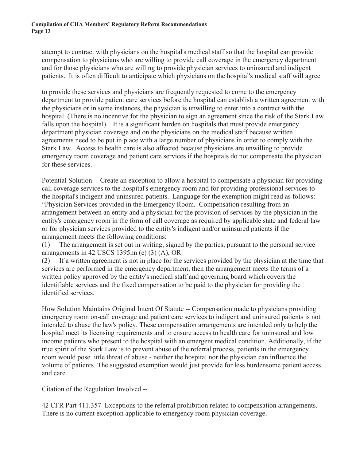attempt to contract with physicians on the hospital's medical staff so that the hospital can provide compensation to physicians who are willing to provide call coverage in the emergency department and for those physicians who are willing to provide physician services to uninsured and indigent patients. It is often difficult to anticipate which physicians on the hospital's medical staff will agree

to provide these services and physicians are frequently requested to come to the emergency department to provide patient care services before the hospital can establish a written agreement with the physicians or in some instances, the physician is unwilling to enter into a contract with the hospital (There is no incentive for the physician to sign an agreement since the risk of the Stark Law falls upon the hospital). It is a significant burden on hospitals that must provide emergency department physician coverage and on the physicians on the medical staff because written agreements need to be put in place with a large number of physicians in order to comply with the Stark Law. Access to health care is also affected because physicians are unwilling to provide emergency room coverage and patient care services if the hospitals do not compensate the physician for these services.

Potential Solution -- Create an exception to allow a hospital to compensate a physician for providing call coverage services to the hospital's emergency room and for providing professional services to the hospital's indigent and uninsured patients. Language for the exemption might read as follows: "Physician Services provided in the Emergency Room. Compensation resulting from an arrangement between an entity and a physician for the provision of services by the physician in the entity's emergency room in the form of call coverage as required by applicable state and federal law or for physician services provided to the entity's indigent and/or uninsured patients if the arrangement meets the following conditions:

(1) The arrangement is set out in writing, signed by the parties, pursuant to the personal service arrangements in 42 USCS 1395nn (e) (3) (A), OR

(2) If a written agreement is not in place for the services provided by the physician at the time that services are performed in the emergency department, then the arrangement meets the terms of a written policy approved by the entity's medical staff and governing board which covers the identifiable services and the fixed compensation to be paid to the physician for providing the identified services.

How Solution Maintains Original Intent Of Statute -- Compensation made to physicians providing emergency room on-call coverage and patient care services to indigent and uninsured patients is not intended to abuse the law's policy. These compensation arrangements are intended only to help the hospital meet its licensing requirements and to ensure access to health care for uninsured and low income patients who present to the hospital with an emergent medical condition. Additionally, if the true spirit of the Stark Law is to prevent abuse of the referral process, patients in the emergency room would pose little threat of abuse - neither the hospital nor the physician can influence the volume of patients. The suggested exemption would just provide for less burdensome patient access and care.

Citation of the Regulation Involved --

42 CFR Part 411.357 Exceptions to the referral prohibition related to compensation arrangements. There is no current exception applicable to emergency room physician coverage.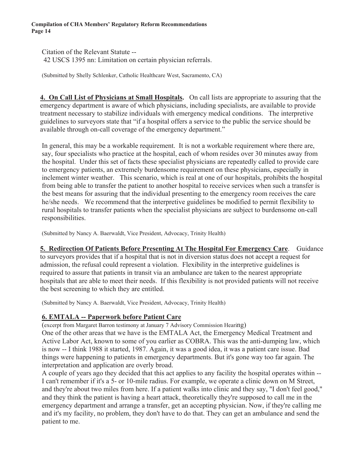Citation of the Relevant Statute -- 42 USCS 1395 nn: Limitation on certain physician referrals.

(Submitted by Shelly Schlenker, Catholic Healthcare West, Sacramento, CA)

**4. On Call List of Physicians at Small Hospitals.** On call lists are appropriate to assuring that the emergency department is aware of which physicians, including specialists, are available to provide treatment necessary to stabilize individuals with emergency medical conditions. The interpretive guidelines to surveyors state that "if a hospital offers a service to the public the service should be available through on-call coverage of the emergency department."

In general, this may be a workable requirement. It is not a workable requirement where there are, say, four specialists who practice at the hospital, each of whom resides over 30 minutes away from the hospital. Under this set of facts these specialist physicians are repeatedly called to provide care to emergency patients, an extremely burdensome requirement on these physicians, especially in inclement winter weather. This scenario, which is real at one of our hospitals, prohibits the hospital from being able to transfer the patient to another hospital to receive services when such a transfer is the best means for assuring that the individual presenting to the emergency room receives the care he/she needs. We recommend that the interpretive guidelines be modified to permit flexibility to rural hospitals to transfer patients when the specialist physicians are subject to burdensome on-call responsibilities.

(Submitted by Nancy A. Baerwaldt, Vice President, Advocacy, Trinity Health)

**5. Redirection Of Patients Before Presenting At The Hospital For Emergency Care**. Guidance to surveyors provides that if a hospital that is not in diversion status does not accept a request for admission, the refusal could represent a violation. Flexibility in the interpretive guidelines is required to assure that patients in transit via an ambulance are taken to the nearest appropriate hospitals that are able to meet their needs. If this flexibility is not provided patients will not receive the best screening to which they are entitled.

(Submitted by Nancy A. Baerwaldt, Vice President, Advocacy, Trinity Health)

# **6. EMTALA -- Paperwork before Patient Care**

(excerpt from Margaret Barron testimony at January 7 Advisory Commission Hearing) One of the other areas that we have is the EMTALA Act, the Emergency Medical Treatment and Active Labor Act, known to some of you earlier as COBRA. This was the anti-dumping law, which is now -- I think 1988 it started, 1987. Again, it was a good idea, it was a patient care issue. Bad things were happening to patients in emergency departments. But it's gone way too far again. The interpretation and application are overly broad.

A couple of years ago they decided that this act applies to any facility the hospital operates within -- I can't remember if it's a 5- or 10-mile radius. For example, we operate a clinic down on M Street, and they're about two miles from here. If a patient walks into clinic and they say, "I don't feel good," and they think the patient is having a heart attack, theoretically they're supposed to call me in the emergency department and arrange a transfer, get an accepting physician. Now, if they're calling me and it's my facility, no problem, they don't have to do that. They can get an ambulance and send the patient to me.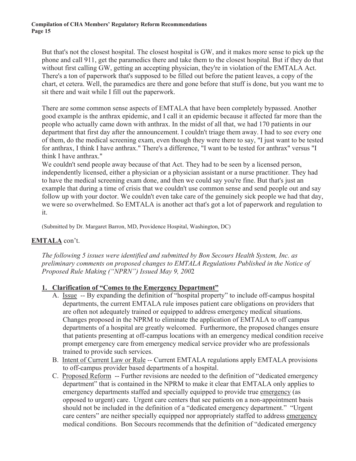But that's not the closest hospital. The closest hospital is GW, and it makes more sense to pick up the phone and call 911, get the paramedics there and take them to the closest hospital. But if they do that without first calling GW, getting an accepting physician, they're in violation of the EMTALA Act. There's a ton of paperwork that's supposed to be filled out before the patient leaves, a copy of the chart, et cetera. Well, the paramedics are there and gone before that stuff is done, but you want me to sit there and wait while I fill out the paperwork.

There are some common sense aspects of EMTALA that have been completely bypassed. Another good example is the anthrax epidemic, and I call it an epidemic because it affected far more than the people who actually came down with anthrax. In the midst of all that, we had 170 patients in our department that first day after the announcement. I couldn't triage them away. I had to see every one of them, do the medical screening exam, even though they were there to say, "I just want to be tested for anthrax, I think I have anthrax." There's a difference, "I want to be tested for anthrax" versus "I think I have anthrax."

We couldn't send people away because of that Act. They had to be seen by a licensed person, independently licensed, either a physician or a physician assistant or a nurse practitioner. They had to have the medical screening exam done, and then we could say you're fine. But that's just an example that during a time of crisis that we couldn't use common sense and send people out and say follow up with your doctor. We couldn't even take care of the genuinely sick people we had that day, we were so overwhelmed. So EMTALA is another act that's got a lot of paperwork and regulation to it.

(Submitted by Dr. Margaret Barron, MD, Providence Hospital, Washington, DC)

## **EMTALA** con't.

*The following 5 issues were identified and submitted by Bon Secours Health System, Inc. as preliminary comments on proposed changes to EMTALA Regulations Published in the Notice of Proposed Rule Making ("NPRN") Issued May 9, 200*2

## **1. Clarification of "Comes to the Emergency Department"**

- A. Issue -- By expanding the definition of "hospital property" to include off-campus hospital departments, the current EMTALA rule imposes patient care obligations on providers that are often not adequately trained or equipped to address emergency medical situations. Changes proposed in the NPRM to eliminate the application of EMTALA to off campus departments of a hospital are greatly welcomed. Furthermore, the proposed changes ensure that patients presenting at off-campus locations with an emergency medical condition receive prompt emergency care from emergency medical service provider who are professionals trained to provide such services.
- B. Intent of Current Law or Rule -- Current EMTALA regulations apply EMTALA provisions to off-campus provider based departments of a hospital.
- C. Proposed Reform -- Further revisions are needed to the definition of "dedicated emergency department" that is contained in the NPRM to make it clear that EMTALA only applies to emergency departments staffed and specially equipped to provide true emergency (as opposed to urgent) care. Urgent care centers that see patients on a non-appointment basis should not be included in the definition of a "dedicated emergency department." "Urgent care centers" are neither specially equipped nor appropriately staffed to address emergency medical conditions. Bon Secours recommends that the definition of "dedicated emergency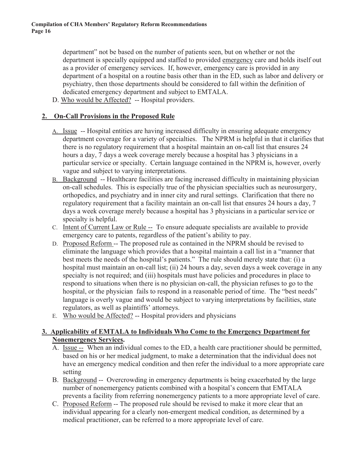department" not be based on the number of patients seen, but on whether or not the department is specially equipped and staffed to provided emergency care and holds itself out as a provider of emergency services. If, however, emergency care is provided in any department of a hospital on a routine basis other than in the ED, such as labor and delivery or psychiatry, then those departments should be considered to fall within the definition of dedicated emergency department and subject to EMTALA.

D. Who would be Affected? -- Hospital providers.

### **2. On-Call Provisions in the Proposed Rule**

- A. Issue -- Hospital entities are having increased difficulty in ensuring adequate emergency department coverage for a variety of specialties. The NPRM is helpful in that it clarifies that there is no regulatory requirement that a hospital maintain an on-call list that ensures 24 hours a day, 7 days a week coverage merely because a hospital has 3 physicians in a particular service or specialty. Certain language contained in the NPRM is, however, overly vague and subject to varying interpretations.
- B. Background -- Healthcare facilities are facing increased difficulty in maintaining physician on-call schedules. This is especially true of the physician specialties such as neurosurgery, orthopedics, and psychiatry and in inner city and rural settings. Clarification that there no regulatory requirement that a facility maintain an on-call list that ensures 24 hours a day, 7 days a week coverage merely because a hospital has 3 physicians in a particular service or specialty is helpful.
- C. Intent of Current Law or Rule -- To ensure adequate specialists are available to provide emergency care to patents, regardless of the patient's ability to pay.
- D. Proposed Reform -- The proposed rule as contained in the NPRM should be revised to eliminate the language which provides that a hospital maintain a call list in a "manner that best meets the needs of the hospital's patients." The rule should merely state that: (i) a hospital must maintain an on-call list; (ii) 24 hours a day, seven days a week coverage in any specialty is not required; and (iii) hospitals must have policies and procedures in place to respond to situations when there is no physician on-call, the physician refuses to go to the hospital, or the physician fails to respond in a reasonable period of time. The "best needs" language is overly vague and would be subject to varying interpretations by facilities, state regulators, as well as plaintiffs' attorneys.
- E. Who would be Affected? -- Hospital providers and physicians

### **3. Applicability of EMTALA to Individuals Who Come to the Emergency Department for Nonemergency Services.**

- A. Issue -- When an individual comes to the ED, a health care practitioner should be permitted, based on his or her medical judgment, to make a determination that the individual does not have an emergency medical condition and then refer the individual to a more appropriate care setting
- B. Background -- Overcrowding in emergency departments is being exacerbated by the large number of nonemergency patients combined with a hospital's concern that EMTALA prevents a facility from referring nonemergency patients to a more appropriate level of care.
- C. Proposed Reform -- The proposed rule should be revised to make it more clear that an individual appearing for a clearly non-emergent medical condition, as determined by a medical practitioner, can be referred to a more appropriate level of care.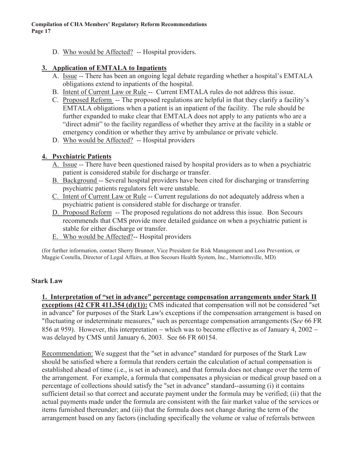D. Who would be Affected? -- Hospital providers.

### **3. Application of EMTALA to Inpatients**

- A. Issue -- There has been an ongoing legal debate regarding whether a hospital's EMTALA obligations extend to inpatients of the hospital.
- B. Intent of Current Law or Rule -- Current EMTALA rules do not address this issue.
- C. Proposed Reform -- The proposed regulations are helpful in that they clarify a facility's EMTALA obligations when a patient is an inpatient of the facility. The rule should be further expanded to make clear that EMTALA does not apply to any patients who are a "direct admit" to the facility regardless of whether they arrive at the facility in a stable or emergency condition or whether they arrive by ambulance or private vehicle.
- D. Who would be Affected? -- Hospital providers

## **4. Psychiatric Patients**

- A. Issue -- There have been questioned raised by hospital providers as to when a psychiatric patient is considered stabile for discharge or transfer.
- B. Background -- Several hospital providers have been cited for discharging or transferring psychiatric patients regulators felt were unstable.
- C. Intent of Current Law or Rule -- Current regulations do not adequately address when a psychiatric patient is considered stable for discharge or transfer.
- D. Proposed Reform -- The proposed regulations do not address this issue. Bon Secours recommends that CMS provide more detailed guidance on when a psychiatric patient is stable for either discharge or transfer.
- E. Who would be Affected?-- Hospital providers

(for further information, contact Sherry Brunner, Vice President for Risk Management and Loss Prevention, or Maggie Costella, Director of Legal Affairs, at Bon Secours Health System, Inc., Marriottsville, MD)

## **Stark Law**

#### **1. Interpretation of "set in advance" percentage compensation arrangements under Stark II**

**exceptions (42 CFR 411.354 (d)(1)):** CMS indicated that compensation will not be considered "set in advance" for purposes of the Stark Law's exceptions if the compensation arrangement is based on "fluctuating or indeterminate measures," such as percentage compensation arrangements (S*ee* 66 FR 856 at 959). However, this interpretation – which was to become effective as of January 4, 2002 – was delayed by CMS until January 6, 2003. See 66 FR 60154.

Recommendation: We suggest that the "set in advance" standard for purposes of the Stark Law should be satisfied where a formula that renders certain the calculation of actual compensation is established ahead of time (i.e., is set in advance), and that formula does not change over the term of the arrangement. For example, a formula that compensates a physician or medical group based on a percentage of collections should satisfy the "set in advance" standard--assuming (i) it contains sufficient detail so that correct and accurate payment under the formula may be verified; (ii) that the actual payments made under the formula are consistent with the fair market value of the services or items furnished thereunder; and (iii) that the formula does not change during the term of the arrangement based on any factors (including specifically the volume or value of referrals between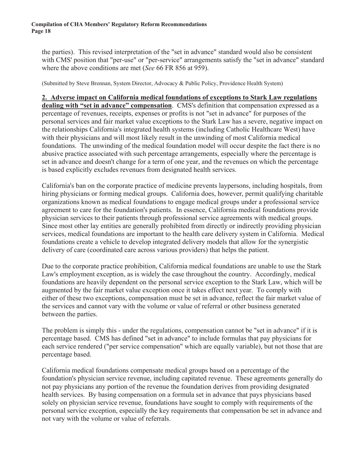the parties). This revised interpretation of the "set in advance" standard would also be consistent with CMS' position that "per-use" or "per-service" arrangements satisfy the "set in advance" standard where the above conditions are met (*See* 66 FR 856 at 959).

(Submitted by Steve Brennan, System Director, Advocacy & Public Policy, Providence Health System)

#### **2. Adverse impact on California medical foundations of exceptions to Stark Law regulations**

**dealing with "set in advance" compensation**. CMS's definition that compensation expressed as a percentage of revenues, receipts, expenses or profits is not "set in advance" for purposes of the personal services and fair market value exceptions to the Stark Law has a severe, negative impact on the relationships California's integrated health systems (including Catholic Healthcare West) have with their physicians and will most likely result in the unwinding of most California medical foundations. The unwinding of the medical foundation model will occur despite the fact there is no abusive practice associated with such percentage arrangements, especially where the percentage is set in advance and doesn't change for a term of one year, and the revenues on which the percentage is based explicitly excludes revenues from designated health services.

California's ban on the corporate practice of medicine prevents laypersons, including hospitals, from hiring physicians or forming medical groups. California does, however, permit qualifying charitable organizations known as medical foundations to engage medical groups under a professional service agreement to care for the foundation's patients. In essence, California medical foundations provide physician services to their patients through professional service agreements with medical groups. Since most other lay entities are generally prohibited from directly or indirectly providing physician services, medical foundations are important to the health care delivery system in California. Medical foundations create a vehicle to develop integrated delivery models that allow for the synergistic delivery of care (coordinated care across various providers) that helps the patient.

Due to the corporate practice prohibition, California medical foundations are unable to use the Stark Law's employment exception, as is widely the case throughout the country. Accordingly, medical foundations are heavily dependent on the personal service exception to the Stark Law, which will be augmented by the fair market value exception once it takes effect next year. To comply with either of these two exceptions, compensation must be set in advance, reflect the fair market value of the services and cannot vary with the volume or value of referral or other business generated between the parties.

The problem is simply this - under the regulations, compensation cannot be "set in advance" if it is percentage based. CMS has defined "set in advance" to include formulas that pay physicians for each service rendered ("per service compensation" which are equally variable), but not those that are percentage based.

California medical foundations compensate medical groups based on a percentage of the foundation's physician service revenue, including capitated revenue. These agreements generally do not pay physicians any portion of the revenue the foundation derives from providing designated health services. By basing compensation on a formula set in advance that pays physicians based solely on physician service revenue, foundations have sought to comply with requirements of the personal service exception, especially the key requirements that compensation be set in advance and not vary with the volume or value of referrals.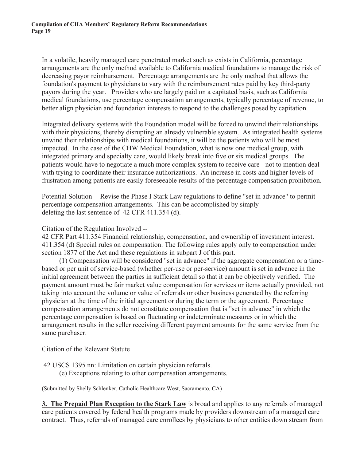In a volatile, heavily managed care penetrated market such as exists in California, percentage arrangements are the only method available to California medical foundations to manage the risk of decreasing payor reimbursement. Percentage arrangements are the only method that allows the foundation's payment to physicians to vary with the reimbursement rates paid by key third-party payors during the year. Providers who are largely paid on a capitated basis, such as California medical foundations, use percentage compensation arrangements, typically percentage of revenue, to better align physician and foundation interests to respond to the challenges posed by capitation.

Integrated delivery systems with the Foundation model will be forced to unwind their relationships with their physicians, thereby disrupting an already vulnerable system. As integrated health systems unwind their relationships with medical foundations, it will be the patients who will be most impacted. In the case of the CHW Medical Foundation, what is now one medical group, with integrated primary and specialty care, would likely break into five or six medical groups. The patients would have to negotiate a much more complex system to receive care - not to mention deal with trying to coordinate their insurance authorizations. An increase in costs and higher levels of frustration among patients are easily foreseeable results of the percentage compensation prohibition.

Potential Solution -- Revise the Phase I Stark Law regulations to define "set in advance" to permit percentage compensation arrangements. This can be accomplished by simply deleting the last sentence of 42 CFR 411.354 (d).

#### Citation of the Regulation Involved --

42 CFR Part 411.354 Financial relationship, compensation, and ownership of investment interest. 411.354 (d) Special rules on compensation. The following rules apply only to compensation under section 1877 of the Act and these regulations in subpart J of this part.

(1) Compensation will be considered "set in advance" if the aggregate compensation or a timebased or per unit of service-based (whether per-use or per-service) amount is set in advance in the initial agreement between the parties in sufficient detail so that it can be objectively verified. The payment amount must be fair market value compensation for services or items actually provided, not taking into account the volume or value of referrals or other business generated by the referring physician at the time of the initial agreement or during the term or the agreement. Percentage compensation arrangements do not constitute compensation that is "set in advance" in which the percentage compensation is based on fluctuating or indeterminate measures or in which the arrangement results in the seller receiving different payment amounts for the same service from the same purchaser.

Citation of the Relevant Statute

42 USCS 1395 nn: Limitation on certain physician referrals.

(e) Exceptions relating to other compensation arrangements.

(Submitted by Shelly Schlenker, Catholic Healthcare West, Sacramento, CA)

**3. The Prepaid Plan Exception to the Stark Law** is broad and applies to any referrals of managed care patients covered by federal health programs made by providers downstream of a managed care contract. Thus, referrals of managed care enrollees by physicians to other entities down stream from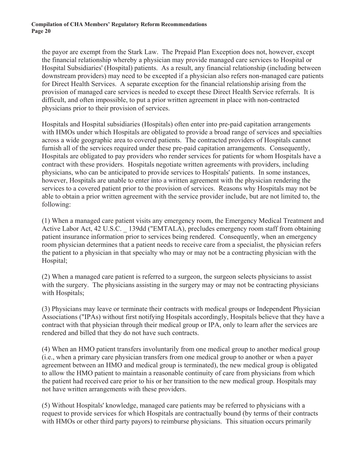the payor are exempt from the Stark Law. The Prepaid Plan Exception does not, however, except the financial relationship whereby a physician may provide managed care services to Hospital or Hospital Subsidiaries' (Hospital) patients. As a result, any financial relationship (including between downstream providers) may need to be excepted if a physician also refers non-managed care patients for Direct Health Services. A separate exception for the financial relationship arising from the provision of managed care services is needed to except these Direct Health Service referrals. It is difficult, and often impossible, to put a prior written agreement in place with non-contracted physicians prior to their provision of services.

Hospitals and Hospital subsidiaries (Hospitals) often enter into pre-paid capitation arrangements with HMOs under which Hospitals are obligated to provide a broad range of services and specialties across a wide geographic area to covered patients. The contracted providers of Hospitals cannot furnish all of the services required under these pre-paid capitation arrangements. Consequently, Hospitals are obligated to pay providers who render services for patients for whom Hospitals have a contract with these providers. Hospitals negotiate written agreements with providers, including physicians, who can be anticipated to provide services to Hospitals' patients. In some instances, however, Hospitals are unable to enter into a written agreement with the physician rendering the services to a covered patient prior to the provision of services. Reasons why Hospitals may not be able to obtain a prior written agreement with the service provider include, but are not limited to, the following:

(1) When a managed care patient visits any emergency room, the Emergency Medical Treatment and Active Labor Act, 42 U.S.C. \_ 139dd ("EMTALA), precludes emergency room staff from obtaining patient insurance information prior to services being rendered. Consequently, when an emergency room physician determines that a patient needs to receive care from a specialist, the physician refers the patient to a physician in that specialty who may or may not be a contracting physician with the Hospital;

(2) When a managed care patient is referred to a surgeon, the surgeon selects physicians to assist with the surgery. The physicians assisting in the surgery may or may not be contracting physicians with Hospitals;

(3) Physicians may leave or terminate their contracts with medical groups or Independent Physician Associations ("IPAs) without first notifying Hospitals accordingly, Hospitals believe that they have a contract with that physician through their medical group or IPA, only to learn after the services are rendered and billed that they do not have such contracts.

(4) When an HMO patient transfers involuntarily from one medical group to another medical group (i.e., when a primary care physician transfers from one medical group to another or when a payer agreement between an HMO and medical group is terminated), the new medical group is obligated to allow the HMO patient to maintain a reasonable continuity of care from physicians from which the patient had received care prior to his or her transition to the new medical group. Hospitals may not have written arrangements with these providers.

(5) Without Hospitals' knowledge, managed care patients may be referred to physicians with a request to provide services for which Hospitals are contractually bound (by terms of their contracts with HMOs or other third party payors) to reimburse physicians. This situation occurs primarily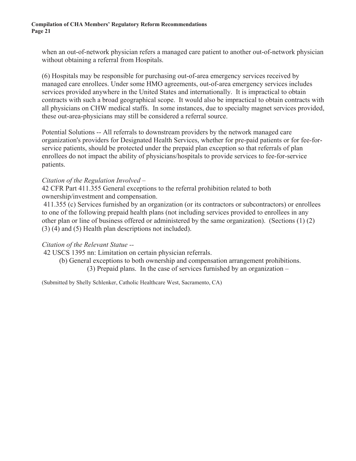when an out-of-network physician refers a managed care patient to another out-of-network physician without obtaining a referral from Hospitals.

(6) Hospitals may be responsible for purchasing out-of-area emergency services received by managed care enrollees. Under some HMO agreements, out-of-area emergency services includes services provided anywhere in the United States and internationally. It is impractical to obtain contracts with such a broad geographical scope. It would also be impractical to obtain contracts with all physicians on CHW medical staffs. In some instances, due to specialty magnet services provided, these out-area-physicians may still be considered a referral source.

Potential Solutions -- All referrals to downstream providers by the network managed care organization's providers for Designated Health Services, whether for pre-paid patients or for fee-forservice patients, should be protected under the prepaid plan exception so that referrals of plan enrollees do not impact the ability of physicians/hospitals to provide services to fee-for-service patients.

#### *Citation of the Regulation Involved –*

42 CFR Part 411.355 General exceptions to the referral prohibition related to both ownership/investment and compensation.

 411.355 (c) Services furnished by an organization (or its contractors or subcontractors) or enrollees to one of the following prepaid health plans (not including services provided to enrollees in any other plan or line of business offered or administered by the same organization). (Sections (1) (2) (3) (4) and (5) Health plan descriptions not included).

#### *Citation of the Relevant Statue --*

42 USCS 1395 nn: Limitation on certain physician referrals.

(b) General exceptions to both ownership and compensation arrangement prohibitions.

(3) Prepaid plans. In the case of services furnished by an organization –

(Submitted by Shelly Schlenker, Catholic Healthcare West, Sacramento, CA)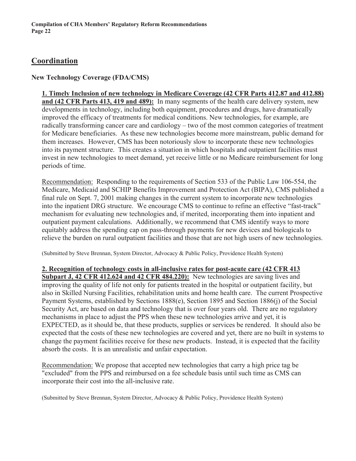# **Coordination**

## **New Technology Coverage (FDA/CMS)**

#### **1. Timely Inclusion of new technology in Medicare Coverage (42 CFR Parts 412.87 and 412.88)**

**and (42 CFR Parts 413, 419 and 489):** In many segments of the health care delivery system, new developments in technology, including both equipment, procedures and drugs, have dramatically improved the efficacy of treatments for medical conditions. New technologies, for example, are radically transforming cancer care and cardiology – two of the most common categories of treatment for Medicare beneficiaries. As these new technologies become more mainstream, public demand for them increases. However, CMS has been notoriously slow to incorporate these new technologies into its payment structure. This creates a situation in which hospitals and outpatient facilities must invest in new technologies to meet demand, yet receive little or no Medicare reimbursement for long periods of time.

Recommendation: Responding to the requirements of Section 533 of the Public Law 106-554, the Medicare, Medicaid and SCHIP Benefits Improvement and Protection Act (BIPA), CMS published a final rule on Sept. 7, 2001 making changes in the current system to incorporate new technologies into the inpatient DRG structure. We encourage CMS to continue to refine an effective "fast-track" mechanism for evaluating new technologies and, if merited, incorporating them into inpatient and outpatient payment calculations. Additionally, we recommend that CMS identify ways to more equitably address the spending cap on pass-through payments for new devices and biologicals to relieve the burden on rural outpatient facilities and those that are not high users of new technologies.

(Submitted by Steve Brennan, System Director, Advocacy & Public Policy, Providence Health System)

**2. Recognition of technology costs in all-inclusive rates for post-acute care (42 CFR 413 Subpart J, 42 CFR 412.624 and 42 CFR 484.220):** New technologies are saving lives and improving the quality of life not only for patients treated in the hospital or outpatient facility, but also in Skilled Nursing Facilities, rehabilitation units and home health care. The current Prospective Payment Systems, established by Sections 1888(e), Section 1895 and Section 1886(j) of the Social Security Act, are based on data and technology that is over four years old. There are no regulatory mechanisms in place to adjust the PPS when these new technologies arrive and yet, it is EXPECTED, as it should be, that these products, supplies or services be rendered. It should also be expected that the costs of these new technologies are covered and yet, there are no built in systems to change the payment facilities receive for these new products. Instead, it is expected that the facility absorb the costs. It is an unrealistic and unfair expectation.

Recommendation: We propose that accepted new technologies that carry a high price tag be "excluded" from the PPS and reimbursed on a fee schedule basis until such time as CMS can incorporate their cost into the all-inclusive rate.

(Submitted by Steve Brennan, System Director, Advocacy & Public Policy, Providence Health System)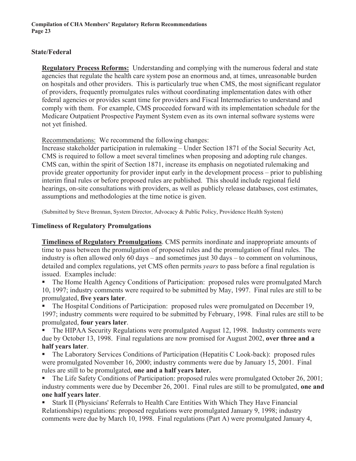### **State/Federal**

**Regulatory Process Reforms:** Understanding and complying with the numerous federal and state agencies that regulate the health care system pose an enormous and, at times, unreasonable burden on hospitals and other providers. This is particularly true when CMS, the most significant regulator of providers, frequently promulgates rules without coordinating implementation dates with other federal agencies or provides scant time for providers and Fiscal Intermediaries to understand and comply with them. For example, CMS proceeded forward with its implementation schedule for the Medicare Outpatient Prospective Payment System even as its own internal software systems were not yet finished.

Recommendations: We recommend the following changes:

Increase stakeholder participation in rulemaking – Under Section 1871 of the Social Security Act, CMS is required to follow a meet several timelines when proposing and adopting rule changes. CMS can, within the spirit of Section 1871, increase its emphasis on negotiated rulemaking and provide greater opportunity for provider input early in the development process – prior to publishing interim final rules or before proposed rules are published. This should include regional field hearings, on-site consultations with providers, as well as publicly release databases, cost estimates, assumptions and methodologies at the time notice is given.

(Submitted by Steve Brennan, System Director, Advocacy & Public Policy, Providence Health System)

#### **Timeliness of Regulatory Promulgations**

**Timeliness of Regulatory Promulgations**. CMS permits inordinate and inappropriate amounts of time to pass between the promulgation of proposed rules and the promulgation of final rules. The industry is often allowed only 60 days – and sometimes just 30 days – to comment on voluminous, detailed and complex regulations, yet CMS often permits *years* to pass before a final regulation is issued. Examples include:

 The Home Health Agency Conditions of Participation: proposed rules were promulgated March 10, 1997; industry comments were required to be submitted by May, 1997. Final rules are still to be promulgated, **five years later**.

 The Hospital Conditions of Participation: proposed rules were promulgated on December 19, 1997; industry comments were required to be submitted by February, 1998. Final rules are still to be promulgated, **four years later**.

 The HIPAA Security Regulations were promulgated August 12, 1998. Industry comments were due by October 13, 1998. Final regulations are now promised for August 2002, **over three and a half years later**.

 The Laboratory Services Conditions of Participation (Hepatitis C Look-back): proposed rules were promulgated November 16, 2000; industry comments were due by January 15, 2001. Final rules are still to be promulgated, **one and a half years later.**

 The Life Safety Conditions of Participation: proposed rules were promulgated October 26, 2001; industry comments were due by December 26, 2001. Final rules are still to be promulgated, **one and one half years later**.

 Stark II (Physicians' Referrals to Health Care Entities With Which They Have Financial Relationships) regulations: proposed regulations were promulgated January 9, 1998; industry comments were due by March 10, 1998. Final regulations (Part A) were promulgated January 4,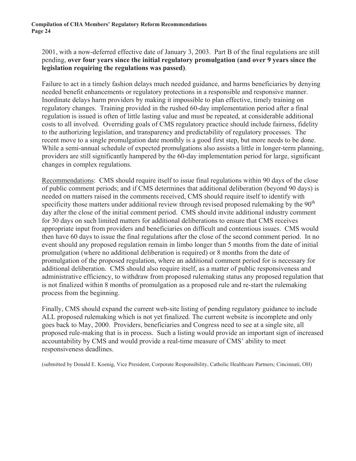2001, with a now-deferred effective date of January 3, 2003. Part B of the final regulations are still pending, **over four years since the initial regulatory promulgation (and over 9 years since the legislation requiring the regulations was passed)**.

Failure to act in a timely fashion delays much needed guidance, and harms beneficiaries by denying needed benefit enhancements or regulatory protections in a responsible and responsive manner. Inordinate delays harm providers by making it impossible to plan effective, timely training on regulatory changes. Training provided in the rushed 60-day implementation period after a final regulation is issued is often of little lasting value and must be repeated, at considerable additional costs to all involved. Overriding goals of CMS regulatory practice should include fairness, fidelity to the authorizing legislation, and transparency and predictability of regulatory processes. The recent move to a single promulgation date monthly is a good first step, but more needs to be done. While a semi-annual schedule of expected promulgations also assists a little in longer-term planning, providers are still significantly hampered by the 60-day implementation period for large, significant changes in complex regulations.

Recommendations: CMS should require itself to issue final regulations within 90 days of the close of public comment periods; and if CMS determines that additional deliberation (beyond 90 days) is needed on matters raised in the comments received, CMS should require itself to identify with specificity those matters under additional review through revised proposed rulemaking by the  $90<sup>th</sup>$ day after the close of the initial comment period. CMS should invite additional industry comment for 30 days on such limited matters for additional deliberations to ensure that CMS receives appropriate input from providers and beneficiaries on difficult and contentious issues. CMS would then have 60 days to issue the final regulations after the close of the second comment period. In no event should any proposed regulation remain in limbo longer than 5 months from the date of initial promulgation (where no additional deliberation is required) or 8 months from the date of promulgation of the proposed regulation, where an additional comment period for is necessary for additional deliberation. CMS should also require itself, as a matter of public responsiveness and administrative efficiency, to withdraw from proposed rulemaking status any proposed regulation that is not finalized within 8 months of promulgation as a proposed rule and re-start the rulemaking process from the beginning.

Finally, CMS should expand the current web-site listing of pending regulatory guidance to include ALL proposed rulemaking which is not yet finalized. The current website is incomplete and only goes back to May, 2000. Providers, beneficiaries and Congress need to see at a single site, all proposed rule-making that is in process. Such a listing would provide an important sign of increased accountability by CMS and would provide a real-time measure of CMS' ability to meet responsiveness deadlines.

(submitted by Donald E. Koenig, Vice President, Corporate Responsibility, Catholic Healthcare Partners; Cincinnati, OH)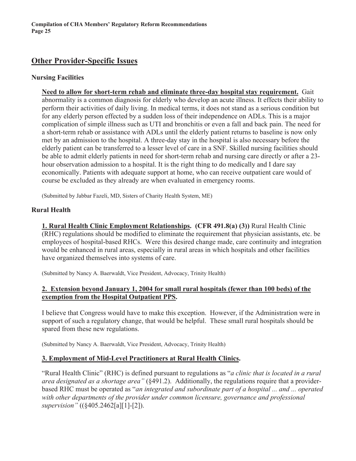# **Other Provider-Specific Issues**

#### **Nursing Facilities**

**Need to allow for short-term rehab and eliminate three-day hospital stay requirement.** Gait abnormality is a common diagnosis for elderly who develop an acute illness. It effects their ability to perform their activities of daily living. In medical terms, it does not stand as a serious condition but for any elderly person effected by a sudden loss of their independence on ADLs. This is a major complication of simple illness such as UTI and bronchitis or even a fall and back pain. The need for a short-term rehab or assistance with ADLs until the elderly patient returns to baseline is now only met by an admission to the hospital. A three-day stay in the hospital is also necessary before the elderly patient can be transferred to a lesser level of care in a SNF. Skilled nursing facilities should be able to admit elderly patients in need for short-term rehab and nursing care directly or after a 23 hour observation admission to a hospital. It is the right thing to do medically and I dare say economically. Patients with adequate support at home, who can receive outpatient care would of course be excluded as they already are when evaluated in emergency rooms.

(Submitted by Jabbar Fazeli, MD, Sisters of Charity Health System, ME)

#### **Rural Health**

**1. Rural Health Clinic Employment Relationships. (CFR 491.8(a) (3))** Rural Health Clinic (RHC) regulations should be modified to eliminate the requirement that physician assistants, etc. be employees of hospital-based RHCs. Were this desired change made, care continuity and integration would be enhanced in rural areas, especially in rural areas in which hospitals and other facilities have organized themselves into systems of care.

(Submitted by Nancy A. Baerwaldt, Vice President, Advocacy, Trinity Health)

#### **2. Extension beyond January 1, 2004 for small rural hospitals (fewer than 100 beds) of the exemption from the Hospital Outpatient PPS.**

I believe that Congress would have to make this exception. However, if the Administration were in support of such a regulatory change, that would be helpful. These small rural hospitals should be spared from these new regulations.

(Submitted by Nancy A. Baerwaldt, Vice President, Advocacy, Trinity Health)

#### **3. Employment of Mid-Level Practitioners at Rural Health Clinics.**

"Rural Health Clinic" (RHC) is defined pursuant to regulations as "*a clinic that is located in a rural area designated as a shortage area"* (§491.2). Additionally, the regulations require that a providerbased RHC must be operated as "*an integrated and subordinate part of a hospital ... and ... operated with other departments of the provider under common licensure, governance and professional supervision"* ((§405.2462[a][1]-[2]).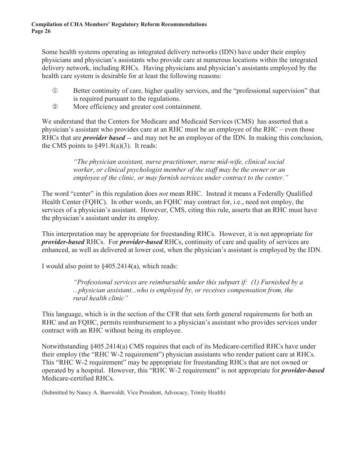Some health systems operating as integrated delivery networks (IDN) have under their employ physicians and physician's assistants who provide care at numerous locations within the integrated delivery network, including RHCs. Having physicians and physician's assistants employed by the health care system is desirable for at least the following reasons:

- $\Phi$  Better continuity of care, higher quality services, and the "professional supervision" that is required pursuant to the regulations.
- | More efficiency and greater cost containment.

We understand that the Centers for Medicare and Medicaid Services (CMS) has asserted that a physician's assistant who provides care at an RHC must be an employee of the RHC – even those RHCs that are *provider based* -- and may not be an employee of the IDN. In making this conclusion, the CMS points to  $\S 491.8(a)(3)$ . It reads:

> *"The physician assistant, nurse practitioner, nurse mid-wife, clinical social worker, or clinical psychologist member of the staff may be the owner or an employee of the clinic, or may furnish services under contract to the center."*

The word "center" in this regulation does *not* mean RHC. Instead it means a Federally Qualified Health Center (FQHC). In other words, an FQHC may contract for, i.e., need not employ, the services of a physician's assistant. However, CMS, citing this rule, asserts that an RHC must have the physician's assistant under its employ.

This interpretation may be appropriate for freestanding RHCs. However, it is not appropriate for *provider-based* RHCs. For *provider-based* RHCs, continuity of care and quality of services are enhanced, as well as delivered at lower cost, when the physician's assistant is employed by the IDN.

I would also point to  $§405.2414(a)$ , which reads:

*"Professional services are reimbursable under this subpart if: (1) Furnished by a ...physician assistant...who is employed by, or receives compensation from, the rural health clinic"*

This language, which is in the section of the CFR that sets forth general requirements for both an RHC and an FQHC, permits reimbursement to a physician's assistant who provides services under contract with an RHC without being its employee.

Notwithstanding §405.2414(a) CMS requires that each of its Medicare-certified RHCs have under their employ (the "RHC W-2 requirement") physician assistants who render patient care at RHCs. This "RHC W-2 requirement" may be appropriate for freestanding RHCs that are not owned or operated by a hospital. However, this "RHC W-2 requirement" is not appropriate for *provider-based* Medicare-certified RHCs.

(Submitted by Nancy A. Baerwaldt, Vice President, Advocacy, Trinity Health)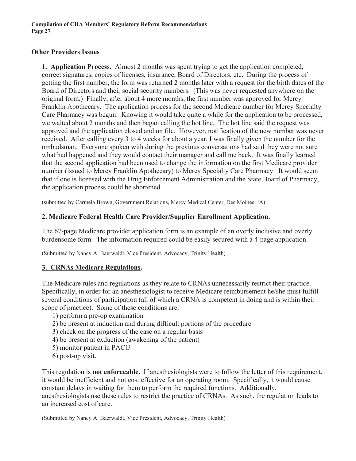#### **Other Providers Issues**

**1. Application Process**. Almost 2 months was spent trying to get the application completed, correct signatures, copies of licenses, insurance, Board of Directors, etc. During the process of getting the first number, the form was returned 2 months later with a request for the birth dates of the Board of Directors and their social security numbers. (This was never requested anywhere on the original form.) Finally, after about 4 more months, the first number was approved for Mercy Franklin Apothecary. The application process for the second Medicare number for Mercy Specialty Care Pharmacy was begun. Knowing it would take quite a while for the application to be processed, we waited about 2 months and then began calling the hot line. The hot line said the request was approved and the application closed and on file. However, notification of the new number was never received. After calling every 3 to 4 weeks for about a year, I was finally given the number for the ombudsman. Everyone spoken with during the previous conversations had said they were not sure what had happened and they would contact their manager and call me back. It was finally learned that the second application had been used to change the information on the first Medicare provider number (issued to Mercy Franklin Apothecary) to Mercy Specialty Care Pharmacy. It would seem that if one is licensed with the Drug Enforcement Administration and the State Board of Pharmacy, the application process could be shortened.

(submitted by Carmela Brown, Government Relations, Mercy Medical Center, Des Moines, IA)

### **2. Medicare Federal Health Care Provider/Supplier Enrollment Application.**

The 67-page Medicare provider application form is an example of an overly inclusive and overly burdensome form. The information required could be easily secured with a 4-page application.

(Submitted by Nancy A. Baerwaldt, Vice President, Advocacy, Trinity Health)

#### **3. CRNAs Medicare Regulations.**

The Medicare rules and regulations as they relate to CRNAs unnecessarily restrict their practice. Specifically, in order for an anesthesiologist to receive Medicare reimbursement he/she must fulfill several conditions of participation (all of which a CRNA is competent in doing and is within their scope of practice). Some of these conditions are:

- 1) perform a pre-op examination
- 2) be present at induction and during difficult portions of the procedure
- 3) check on the progress of the case on a regular basis
- 4) be present at exduction (awakening of the patient)
- 5) monitor patient in PACU
- 6) post-op visit.

This regulation is **not enforceable.** If anesthesiologists were to follow the letter of this requirement, it would be inefficient and not cost effective for an operating room. Specifically, it would cause constant delays in waiting for them to perform the required functions. Additionally, anesthesiologists use these rules to restrict the practice of CRNAs. As such, the regulation leads to an increased cost of care.

(Submitted by Nancy A. Baerwaldt, Vice President, Advocacy, Trinity Health)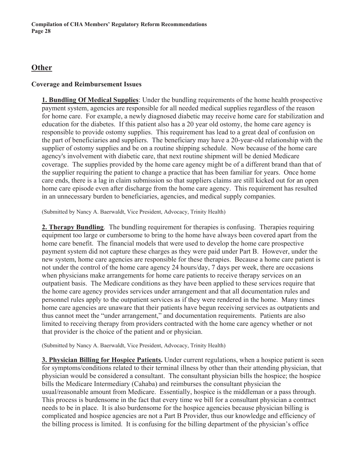# **Other**

#### **Coverage and Reimbursement Issues**

**1. Bundling Of Medical Supplies**: Under the bundling requirements of the home health prospective payment system, agencies are responsible for all needed medical supplies regardless of the reason for home care. For example, a newly diagnosed diabetic may receive home care for stabilization and education for the diabetes. If this patient also has a 20 year old ostomy, the home care agency is responsible to provide ostomy supplies. This requirement has lead to a great deal of confusion on the part of beneficiaries and suppliers. The beneficiary may have a 20-year-old relationship with the supplier of ostomy supplies and be on a routine shipping schedule. Now because of the home care agency's involvement with diabetic care, that next routine shipment will be denied Medicare coverage. The supplies provided by the home care agency might be of a different brand than that of the supplier requiring the patient to change a practice that has been familiar for years. Once home care ends, there is a lag in claim submission so that suppliers claims are still kicked out for an open home care episode even after discharge from the home care agency. This requirement has resulted in an unnecessary burden to beneficiaries, agencies, and medical supply companies.

(Submitted by Nancy A. Baerwaldt, Vice President, Advocacy, Trinity Health)

**2. Therapy Bundling**. The bundling requirement for therapies is confusing. Therapies requiring equipment too large or cumbersome to bring to the home have always been covered apart from the home care benefit. The financial models that were used to develop the home care prospective payment system did not capture these charges as they were paid under Part B. However, under the new system, home care agencies are responsible for these therapies. Because a home care patient is not under the control of the home care agency 24 hours/day, 7 days per week, there are occasions when physicians make arrangements for home care patients to receive therapy services on an outpatient basis. The Medicare conditions as they have been applied to these services require that the home care agency provides services under arrangement and that all documentation rules and personnel rules apply to the outpatient services as if they were rendered in the home. Many times home care agencies are unaware that their patients have begun receiving services as outpatients and thus cannot meet the "under arrangement," and documentation requirements. Patients are also limited to receiving therapy from providers contracted with the home care agency whether or not that provider is the choice of the patient and or physician.

(Submitted by Nancy A. Baerwaldt, Vice President, Advocacy, Trinity Health)

**3. Physician Billing for Hospice Patients.** Under current regulations, when a hospice patient is seen for symptoms/conditions related to their terminal illness by other than their attending physician, that physician would be considered a consultant. The consultant physician bills the hospice; the hospice bills the Medicare Intermediary (Cahaba) and reimburses the consultant physician the usual/reasonable amount from Medicare. Essentially, hospice is the middleman or a pass through. This process is burdensome in the fact that every time we bill for a consultant physician a contract needs to be in place. It is also burdensome for the hospice agencies because physician billing is complicated and hospice agencies are not a Part B Provider, thus our knowledge and efficiency of the billing process is limited. It is confusing for the billing department of the physician's office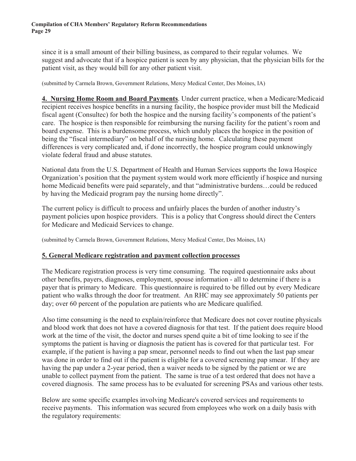since it is a small amount of their billing business, as compared to their regular volumes. We suggest and advocate that if a hospice patient is seen by any physician, that the physician bills for the patient visit, as they would bill for any other patient visit.

(submitted by Carmela Brown, Government Relations, Mercy Medical Center, Des Moines, IA)

**4. Nursing Home Room and Board Payments**. Under current practice, when a Medicare/Medicaid recipient receives hospice benefits in a nursing facility, the hospice provider must bill the Medicaid fiscal agent (Consultec) for both the hospice and the nursing facility's components of the patient's care. The hospice is then responsible for reimbursing the nursing facility for the patient's room and board expense. This is a burdensome process, which unduly places the hospice in the position of being the "fiscal intermediary" on behalf of the nursing home. Calculating these payment differences is very complicated and, if done incorrectly, the hospice program could unknowingly violate federal fraud and abuse statutes.

National data from the U.S. Department of Health and Human Services supports the Iowa Hospice Organization's position that the payment system would work more efficiently if hospice and nursing home Medicaid benefits were paid separately, and that "administrative burdens…could be reduced by having the Medicaid program pay the nursing home directly".

The current policy is difficult to process and unfairly places the burden of another industry's payment policies upon hospice providers. This is a policy that Congress should direct the Centers for Medicare and Medicaid Services to change.

(submitted by Carmela Brown, Government Relations, Mercy Medical Center, Des Moines, IA)

#### **5. General Medicare registration and payment collection processes**

The Medicare registration process is very time consuming. The required questionnaire asks about other benefits, payers, diagnoses, employment, spouse information - all to determine if there is a payer that is primary to Medicare. This questionnaire is required to be filled out by every Medicare patient who walks through the door for treatment. An RHC may see approximately 50 patients per day; over 60 percent of the population are patients who are Medicare qualified.

Also time consuming is the need to explain/reinforce that Medicare does not cover routine physicals and blood work that does not have a covered diagnosis for that test. If the patient does require blood work at the time of the visit, the doctor and nurses spend quite a bit of time looking to see if the symptoms the patient is having or diagnosis the patient has is covered for that particular test. For example, if the patient is having a pap smear, personnel needs to find out when the last pap smear was done in order to find out if the patient is eligible for a covered screening pap smear. If they are having the pap under a 2-year period, then a waiver needs to be signed by the patient or we are unable to collect payment from the patient. The same is true of a test ordered that does not have a covered diagnosis. The same process has to be evaluated for screening PSAs and various other tests.

Below are some specific examples involving Medicare's covered services and requirements to receive payments. This information was secured from employees who work on a daily basis with the regulatory requirements: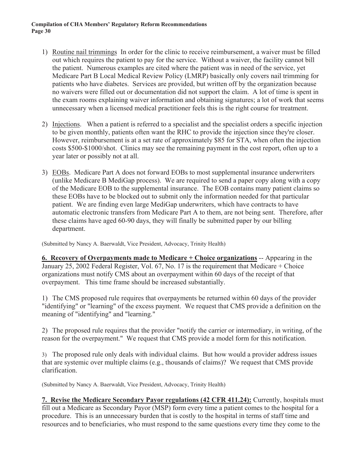- 1) Routine nail trimmings In order for the clinic to receive reimbursement, a waiver must be filled out which requires the patient to pay for the service. Without a waiver, the facility cannot bill the patient. Numerous examples are cited where the patient was in need of the service, yet Medicare Part B Local Medical Review Policy (LMRP) basically only covers nail trimming for patients who have diabetes. Services are provided, but written off by the organization because no waivers were filled out or documentation did not support the claim. A lot of time is spent in the exam rooms explaining waiver information and obtaining signatures; a lot of work that seems unnecessary when a licensed medical practitioner feels this is the right course for treatment.
- 2) Injections. When a patient is referred to a specialist and the specialist orders a specific injection to be given monthly, patients often want the RHC to provide the injection since they're closer. However, reimbursement is at a set rate of approximately \$85 for STA, when often the injection costs \$500-\$1000/shot. Clinics may see the remaining payment in the cost report, often up to a year later or possibly not at all.
- 3) EOBs. Medicare Part A does not forward EOBs to most supplemental insurance underwriters (unlike Medicare B MediGap process). We are required to send a paper copy along with a copy of the Medicare EOB to the supplemental insurance. The EOB contains many patient claims so these EOBs have to be blocked out to submit only the information needed for that particular patient. We are finding even large MediGap underwriters, which have contracts to have automatic electronic transfers from Medicare Part A to them, are not being sent. Therefore, after these claims have aged 60-90 days, they will finally be submitted paper by our billing department.

(Submitted by Nancy A. Baerwaldt, Vice President, Advocacy, Trinity Health)

**6. Recovery of Overpayments made to Medicare + Choice organizations** -- Appearing in the January 25, 2002 Federal Register, Vol. 67, No. 17 is the requirement that Medicare + Choice organizations must notify CMS about an overpayment within 60 days of the receipt of that overpayment. This time frame should be increased substantially.

1) The CMS proposed rule requires that overpayments be returned within 60 days of the provider "identifying" or "learning" of the excess payment. We request that CMS provide a definition on the meaning of "identifying" and "learning."

2) The proposed rule requires that the provider "notify the carrier or intermediary, in writing, of the reason for the overpayment." We request that CMS provide a model form for this notification.

3) The proposed rule only deals with individual claims. But how would a provider address issues that are systemic over multiple claims (e.g., thousands of claims)? We request that CMS provide clarification.

(Submitted by Nancy A. Baerwaldt, Vice President, Advocacy, Trinity Health)

**7. Revise the Medicare Secondary Payor regulations (42 CFR 411.24):** Currently, hospitals must fill out a Medicare as Secondary Payor (MSP) form every time a patient comes to the hospital for a procedure. This is an unnecessary burden that is costly to the hospital in terms of staff time and resources and to beneficiaries, who must respond to the same questions every time they come to the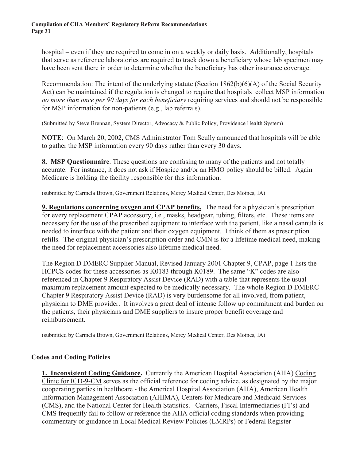hospital – even if they are required to come in on a weekly or daily basis. Additionally, hospitals that serve as reference laboratories are required to track down a beneficiary whose lab specimen may have been sent there in order to determine whether the beneficiary has other insurance coverage.

Recommendation: The intent of the underlying statute (Section 1862(b)(6)(A) of the Social Security Act) can be maintained if the regulation is changed to require that hospitals collect MSP information *no more than once per 90 days for each beneficiary* requiring services and should not be responsible for MSP information for non-patients (e.g., lab referrals).

(Submitted by Steve Brennan, System Director, Advocacy & Public Policy, Providence Health System)

**NOTE**: On March 20, 2002, CMS Administrator Tom Scully announced that hospitals will be able to gather the MSP information every 90 days rather than every 30 days.

**8. MSP Questionnaire**. These questions are confusing to many of the patients and not totally accurate. For instance, it does not ask if Hospice and/or an HMO policy should be billed. Again Medicare is holding the facility responsible for this information.

(submitted by Carmela Brown, Government Relations, Mercy Medical Center, Des Moines, IA)

**9. Regulations concerning oxygen and CPAP benefits.** The need for a physician's prescription for every replacement CPAP accessory, i.e., masks, headgear, tubing, filters, etc. These items are necessary for the use of the prescribed equipment to interface with the patient, like a nasal cannula is needed to interface with the patient and their oxygen equipment. I think of them as prescription refills. The original physician's prescription order and CMN is for a lifetime medical need, making the need for replacement accessories also lifetime medical need.

The Region D DMERC Supplier Manual, Revised January 2001 Chapter 9, CPAP, page 1 lists the HCPCS codes for these accessories as K0183 through K0189. The same "K" codes are also referenced in Chapter 9 Respiratory Assist Device (RAD) with a table that represents the usual maximum replacement amount expected to be medically necessary. The whole Region D DMERC Chapter 9 Respiratory Assist Device (RAD) is very burdensome for all involved, from patient, physician to DME provider. It involves a great deal of intense follow up commitment and burden on the patients, their physicians and DME suppliers to insure proper benefit coverage and reimbursement.

(submitted by Carmela Brown, Government Relations, Mercy Medical Center, Des Moines, IA)

#### **Codes and Coding Policies**

**1. Inconsistent Coding Guidance.** Currently the American Hospital Association (AHA) Coding Clinic for ICD-9-CM serves as the official reference for coding advice, as designated by the major cooperating parties in healthcare - the Americal Hospital Association (AHA), American Health Information Management Association (AHIMA), Centers for Medicare and Medicaid Services (CMS), and the National Center for Health Statistics. Carriers, Fiscal Intermediaries (FI's) and CMS frequently fail to follow or reference the AHA official coding standards when providing commentary or guidance in Local Medical Review Policies (LMRPs) or Federal Register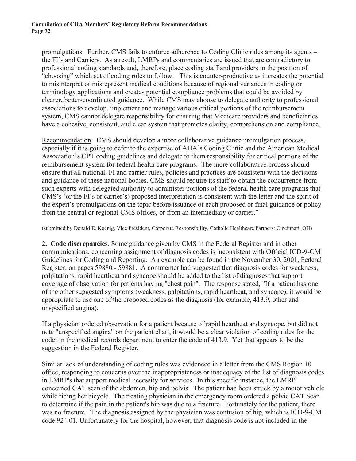promulgations. Further, CMS fails to enforce adherence to Coding Clinic rules among its agents – the FI's and Carriers. As a result, LMRPs and commentaries are issued that are contradictory to professional coding standards and, therefore, place coding staff and providers in the position of "choosing" which set of coding rules to follow. This is counter-productive as it creates the potential to misinterpret or misrepresent medical conditions because of regional variances in coding or terminology applications and creates potential compliance problems that could be avoided by clearer, better-coordinated guidance. While CMS may choose to delegate authority to professional associations to develop, implement and manage various critical portions of the reimbursement system, CMS cannot delegate responsibility for ensuring that Medicare providers and beneficiaries have a cohesive, consistent, and clear system that promotes clarity, comprehension and compliance.

Recommendation: CMS should develop a more collaborative guidance promulgation process, especially if it is going to defer to the expertise of AHA's Coding Clinic and the American Medical Association's CPT coding guidelines and delegate to them responsibility for critical portions of the reimbursement system for federal health care programs. The more collaborative process should ensure that all national, FI and carrier rules, policies and practices are consistent with the decisions and guidance of these national bodies. CMS should require its staff to obtain the concurrence from such experts with delegated authority to administer portions of the federal health care programs that CMS's (or the FI's or carrier's) proposed interpretation is consistent with the letter and the spirit of the expert's promulgations on the topic before issuance of each proposed or final guidance or policy from the central or regional CMS offices, or from an intermediary or carrier."

(submitted by Donald E. Koenig, Vice President, Corporate Responsibility, Catholic Healthcare Partners; Cincinnati, OH)

**2. Code discrepancies**. Some guidance given by CMS in the Federal Register and in other communications, concerning assignment of diagnosis codes is inconsistent with Official ICD-9-CM Guidelines for Coding and Reporting. An example can be found in the November 30, 2001, Federal Register, on pages 59880 - 59881. A commenter had suggested that diagnosis codes for weakness, palpitations, rapid heartbeat and syncope should be added to the list of diagnoses that support coverage of observation for patients having "chest pain". The response stated, "If a patient has one of the other suggested symptoms (weakness, palpitations, rapid heartbeat, and syncope), it would be appropriate to use one of the proposed codes as the diagnosis (for example, 413.9, other and unspecified angina).

If a physician ordered observation for a patient because of rapid heartbeat and syncope, but did not note "unspecified angina" on the patient chart, it would be a clear violation of coding rules for the coder in the medical records department to enter the code of 413.9. Yet that appears to be the suggestion in the Federal Register.

Similar lack of understanding of coding rules was evidenced in a letter from the CMS Region 10 office, responding to concerns over the inappropriateness or inadequacy of the list of diagnosis codes in LMRP's that support medical necessity for services. In this specific instance, the LMRP concerned CAT scan of the abdomen, hip and pelvis. The patient had been struck by a motor vehicle while riding her bicycle. The treating physician in the emergency room ordered a pelvic CAT Scan to determine if the pain in the patient's hip was due to a fracture. Fortunately for the patient, there was no fracture. The diagnosis assigned by the physician was contusion of hip, which is ICD-9-CM code 924.01. Unfortunately for the hospital, however, that diagnosis code is not included in the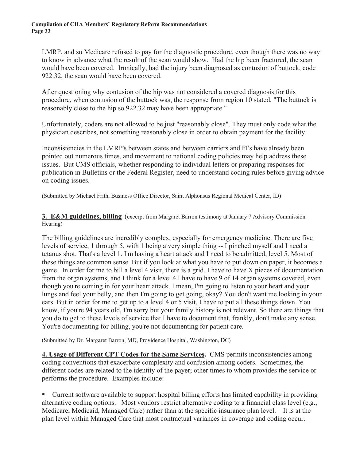LMRP, and so Medicare refused to pay for the diagnostic procedure, even though there was no way to know in advance what the result of the scan would show. Had the hip been fractured, the scan would have been covered. Ironically, had the injury been diagnosed as contusion of buttock, code 922.32, the scan would have been covered.

After questioning why contusion of the hip was not considered a covered diagnosis for this procedure, when contusion of the buttock was, the response from region 10 stated, "The buttock is reasonably close to the hip so 922.32 may have been appropriate."

Unfortunately, coders are not allowed to be just "reasonably close". They must only code what the physician describes, not something reasonably close in order to obtain payment for the facility.

Inconsistencies in the LMRP's between states and between carriers and FI's have already been pointed out numerous times, and movement to national coding policies may help address these issues. But CMS officials, whether responding to individual letters or preparing responses for publication in Bulletins or the Federal Register, need to understand coding rules before giving advice on coding issues.

(Submitted by Michael Frith, Business Office Director, Saint Alphonsus Regional Medical Center, ID)

**3. E&M guidelines, billing** (excerpt from Margaret Barron testimony at January 7 Advisory Commission Hearing)

The billing guidelines are incredibly complex, especially for emergency medicine. There are five levels of service, 1 through 5, with 1 being a very simple thing -- I pinched myself and I need a tetanus shot. That's a level 1. I'm having a heart attack and I need to be admitted, level 5. Most of these things are common sense. But if you look at what you have to put down on paper, it becomes a game. In order for me to bill a level 4 visit, there is a grid. I have to have X pieces of documentation from the organ systems, and I think for a level 4 I have to have 9 of 14 organ systems covered, even though you're coming in for your heart attack. I mean, I'm going to listen to your heart and your lungs and feel your belly, and then I'm going to get going, okay? You don't want me looking in your ears. But in order for me to get up to a level 4 or 5 visit, I have to put all these things down. You know, if you're 94 years old, I'm sorry but your family history is not relevant. So there are things that you do to get to these levels of service that I have to document that, frankly, don't make any sense. You're documenting for billing, you're not documenting for patient care.

(Submitted by Dr. Margaret Barron, MD, Providence Hospital, Washington, DC)

**4. Usage of Different CPT Codes for the Same Services.** CMS permits inconsistencies among coding conventions that exacerbate complexity and confusion among coders. Sometimes, the different codes are related to the identity of the payer; other times to whom provides the service or performs the procedure. Examples include:

 Current software available to support hospital billing efforts has limited capability in providing alternative coding options. Most vendors restrict alternative coding to a financial class level (e.g., Medicare, Medicaid, Managed Care) rather than at the specific insurance plan level. It is at the plan level within Managed Care that most contractual variances in coverage and coding occur.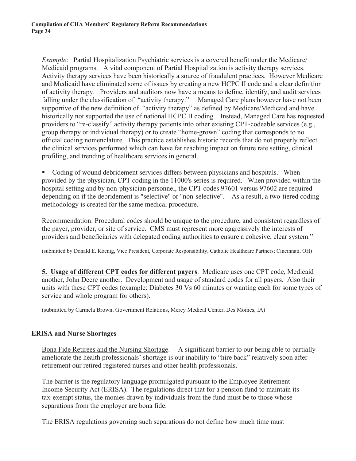*Example*: Partial Hospitalization Psychiatric services is a covered benefit under the Medicare/ Medicaid programs. A vital component of Partial Hospitalization is activity therapy services. Activity therapy services have been historically a source of fraudulent practices. However Medicare and Medicaid have eliminated some of issues by creating a new HCPC II code and a clear definition of activity therapy. Providers and auditors now have a means to define, identify, and audit services falling under the classification of "activity therapy." Managed Care plans however have not been supportive of the new definition of "activity therapy" as defined by Medicare/Medicaid and have historically not supported the use of national HCPC II coding. Instead, Managed Care has requested providers to "re-classify" activity therapy patients into other existing CPT-codeable services (e.g., group therapy or individual therapy) or to create "home-grown" coding that corresponds to no official coding nomenclature. This practice establishes historic records that do not properly reflect the clinical services performed which can have far reaching impact on future rate setting, clinical profiling, and trending of healthcare services in general.

 Coding of wound debridement services differs between physicians and hospitals. When provided by the physician, CPT coding in the 11000's series is required. When provided within the hospital setting and by non-physician personnel, the CPT codes 97601 versus 97602 are required depending on if the debridement is "selective" or "non-selective". As a result, a two-tiered coding methodology is created for the same medical procedure.

Recommendation: Procedural codes should be unique to the procedure, and consistent regardless of the payer, provider, or site of service. CMS must represent more aggressively the interests of providers and beneficiaries with delegated coding authorities to ensure a cohesive, clear system."

(submitted by Donald E. Koenig, Vice President, Corporate Responsibility, Catholic Healthcare Partners; Cincinnati, OH)

**5. Usage of different CPT codes for different payers**. Medicare uses one CPT code, Medicaid another, John Deere another. Development and usage of standard codes for all payers. Also their units with these CPT codes (example: Diabetes 30 Vs 60 minutes or wanting each for some types of service and whole program for others).

(submitted by Carmela Brown, Government Relations, Mercy Medical Center, Des Moines, IA)

#### **ERISA and Nurse Shortages**

Bona Fide Retirees and the Nursing Shortage. -- A significant barrier to our being able to partially ameliorate the health professionals' shortage is our inability to "hire back" relatively soon after retirement our retired registered nurses and other health professionals.

The barrier is the regulatory language promulgated pursuant to the Employee Retirement Income Security Act (ERISA). The regulations direct that for a pension fund to maintain its tax-exempt status, the monies drawn by individuals from the fund must be to those whose separations from the employer are bona fide.

The ERISA regulations governing such separations do not define how much time must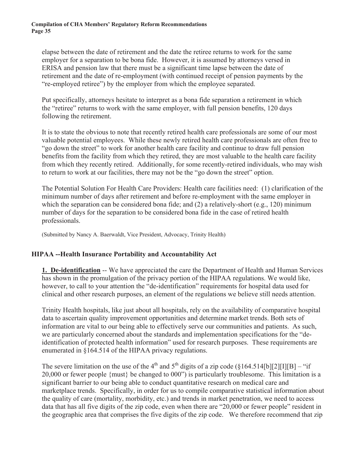elapse between the date of retirement and the date the retiree returns to work for the same employer for a separation to be bona fide. However, it is assumed by attorneys versed in ERISA and pension law that there must be a significant time lapse between the date of retirement and the date of re-employment (with continued receipt of pension payments by the "re-employed retiree") by the employer from which the employee separated.

Put specifically, attorneys hesitate to interpret as a bona fide separation a retirement in which the "retiree" returns to work with the same employer, with full pension benefits, 120 days following the retirement.

It is to state the obvious to note that recently retired health care professionals are some of our most valuable potential employees. While these newly retired health care professionals are often free to "go down the street" to work for another health care facility and continue to draw full pension benefits from the facility from which they retired, they are most valuable to the health care facility from which they recently retired. Additionally, for some recently-retired individuals, who may wish to return to work at our facilities, there may not be the "go down the street" option.

The Potential Solution For Health Care Providers: Health care facilities need: (1) clarification of the minimum number of days after retirement and before re-employment with the same employer in which the separation can be considered bona fide; and (2) a relatively-short (e.g., 120) minimum number of days for the separation to be considered bona fide in the case of retired health professionals.

(Submitted by Nancy A. Baerwaldt, Vice President, Advocacy, Trinity Health)

#### **HIPAA --Health Insurance Portability and Accountability Act**

**1. De-identification** -- We have appreciated the care the Department of Health and Human Services has shown in the promulgation of the privacy portion of the HIPAA regulations. We would like, however, to call to your attention the "de-identification" requirements for hospital data used for clinical and other research purposes, an element of the regulations we believe still needs attention.

Trinity Health hospitals, like just about all hospitals, rely on the availability of comparative hospital data to ascertain quality improvement opportunities and determine market trends. Both sets of information are vital to our being able to effectively serve our communities and patients. As such, we are particularly concerned about the standards and implementation specifications for the "deidentification of protected health information" used for research purposes. These requirements are enumerated in §164.514 of the HIPAA privacy regulations.

The severe limitation on the use of the 4<sup>th</sup> and 5<sup>th</sup> digits of a zip code (§164.514[b][2][I][B] – "if 20,000 or fewer people {must} be changed to 000") is particularly troublesome. This limitation is a significant barrier to our being able to conduct quantitative research on medical care and marketplace trends. Specifically, in order for us to compile comparative statistical information about the quality of care (mortality, morbidity, etc.) and trends in market penetration, we need to access data that has all five digits of the zip code, even when there are "20,000 or fewer people" resident in the geographic area that comprises the five digits of the zip code. We therefore recommend that zip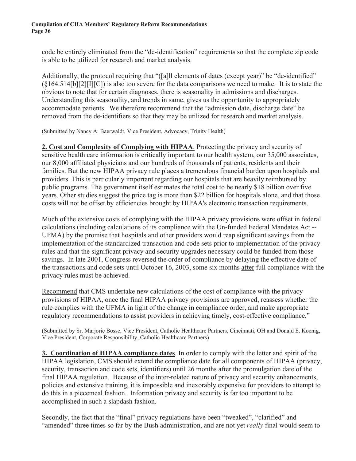code be entirely eliminated from the "de-identification" requirements so that the complete zip code is able to be utilized for research and market analysis.

Additionally, the protocol requiring that "([a]ll elements of dates (except year)" be "de-identified" (§164.514[b][2][I][C]) is also too severe for the data comparisons we need to make. It is to state the obvious to note that for certain diagnoses, there is seasonality in admissions and discharges. Understanding this seasonality, and trends in same, gives us the opportunity to appropriately accommodate patients. We therefore recommend that the "admission date, discharge date" be removed from the de-identifiers so that they may be utilized for research and market analysis.

(Submitted by Nancy A. Baerwaldt, Vice President, Advocacy, Trinity Health)

**2. Cost and Complexity of Complying with HIPAA**. Protecting the privacy and security of sensitive health care information is critically important to our health system, our 35,000 associates, our 8,000 affiliated physicians and our hundreds of thousands of patients, residents and their families. But the new HIPAA privacy rule places a tremendous financial burden upon hospitals and providers. This is particularly important regarding our hospitals that are heavily reimbursed by public programs. The government itself estimates the total cost to be nearly \$18 billion over five years. Other studies suggest the price tag is more than \$22 billion for hospitals alone, and that those costs will not be offset by efficiencies brought by HIPAA's electronic transaction requirements.

Much of the extensive costs of complying with the HIPAA privacy provisions were offset in federal calculations (including calculations of its compliance with the Un-funded Federal Mandates Act -- UFMA) by the promise that hospitals and other providers would reap significant savings from the implementation of the standardized transaction and code sets prior to implementation of the privacy rules and that the significant privacy and security upgrades necessary could be funded from those savings. In late 2001, Congress reversed the order of compliance by delaying the effective date of the transactions and code sets until October 16, 2003, some six months after full compliance with the privacy rules must be achieved.

Recommend that CMS undertake new calculations of the cost of compliance with the privacy provisions of HIPAA, once the final HIPAA privacy provisions are approved, reassess whether the rule complies with the UFMA in light of the change in compliance order, and make appropriate regulatory recommendations to assist providers in achieving timely, cost-effective compliance."

(Submitted by Sr. Marjorie Bosse, Vice President, Catholic Healthcare Partners, Cincinnati, OH and Donald E. Koenig, Vice President, Corporate Responsibility, Catholic Healthcare Partners)

**3. Coordination of HIPAA compliance dates**. In order to comply with the letter and spirit of the HIPAA legislation, CMS should extend the compliance date for all components of HIPAA (privacy, security, transaction and code sets, identifiers) until 26 months after the promulgation date of the final HIPAA regulation. Because of the inter-related nature of privacy and security enhancements, policies and extensive training, it is impossible and inexorably expensive for providers to attempt to do this in a piecemeal fashion. Information privacy and security is far too important to be accomplished in such a slapdash fashion.

Secondly, the fact that the "final" privacy regulations have been "tweaked", "clarified" and "amended" three times so far by the Bush administration, and are not yet *really* final would seem to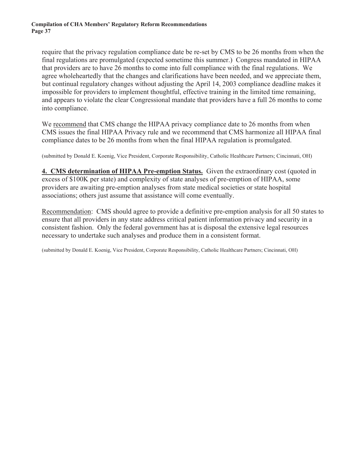require that the privacy regulation compliance date be re-set by CMS to be 26 months from when the final regulations are promulgated (expected sometime this summer.) Congress mandated in HIPAA that providers are to have 26 months to come into full compliance with the final regulations. We agree wholeheartedly that the changes and clarifications have been needed, and we appreciate them, but continual regulatory changes without adjusting the April 14, 2003 compliance deadline makes it impossible for providers to implement thoughtful, effective training in the limited time remaining, and appears to violate the clear Congressional mandate that providers have a full 26 months to come into compliance.

We recommend that CMS change the HIPAA privacy compliance date to 26 months from when CMS issues the final HIPAA Privacy rule and we recommend that CMS harmonize all HIPAA final compliance dates to be 26 months from when the final HIPAA regulation is promulgated.

(submitted by Donald E. Koenig, Vice President, Corporate Responsibility, Catholic Healthcare Partners; Cincinnati, OH)

**4. CMS determination of HIPAA Pre-emption Status.** Given the extraordinary cost (quoted in excess of \$100K per state) and complexity of state analyses of pre-emption of HIPAA, some providers are awaiting pre-emption analyses from state medical societies or state hospital associations; others just assume that assistance will come eventually.

Recommendation: CMS should agree to provide a definitive pre-emption analysis for all 50 states to ensure that all providers in any state address critical patient information privacy and security in a consistent fashion. Only the federal government has at is disposal the extensive legal resources necessary to undertake such analyses and produce them in a consistent format.

(submitted by Donald E. Koenig, Vice President, Corporate Responsibility, Catholic Healthcare Partners; Cincinnati, OH)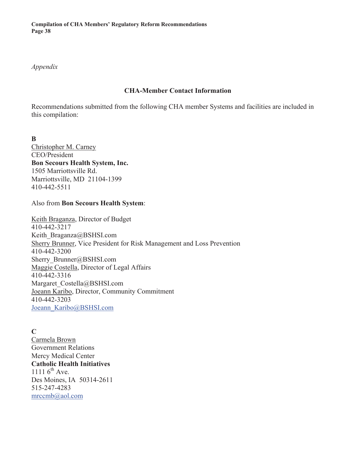*Appendix*

#### **CHA-Member Contact Information**

Recommendations submitted from the following CHA member Systems and facilities are included in this compilation:

**B** Christopher M. Carney CEO/President **Bon Secours Health System, Inc.** 1505 Marriottsville Rd. Marriottsville, MD 21104-1399 410-442-5511

#### Also from **Bon Secours Health System**:

Keith Braganza, Director of Budget 410-442-3217 Keith Braganza@BSHSI.com Sherry Brunner, Vice President for Risk Management and Loss Prevention 410-442-3200 Sherry\_Brunner@BSHSI.com Maggie Costella, Director of Legal Affairs 410-442-3316 Margaret\_Costella@BSHSI.com Joeann Karibo, Director, Community Commitment 410-442-3203 Joeann\_Karibo@BSHSI.com

**C** Carmela Brown Government Relations Mercy Medical Center **Catholic Health Initiatives** 1111  $6^{th}$  Ave. Des Moines, IA 50314-2611 515-247-4283 mrccmb@aol.com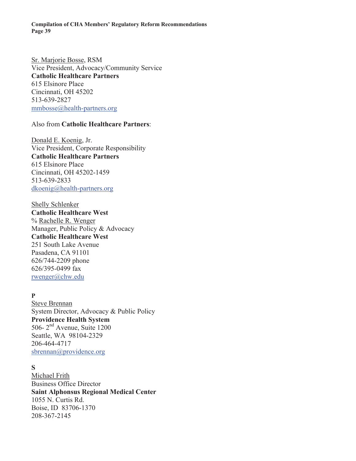Sr. Marjorie Bosse, RSM Vice President, Advocacy/Community Service **Catholic Healthcare Partners** 615 Elsinore Place Cincinnati, OH 45202 513-639-2827 mmbosse@health-partners.org

#### Also from **Catholic Healthcare Partners**:

Donald E. Koenig, Jr. Vice President, Corporate Responsibility **Catholic Healthcare Partners** 615 Elsinore Place Cincinnati, OH 45202-1459 513-639-2833 dkoenig@health-partners.org

Shelly Schlenker **Catholic Healthcare West** % Rachelle R. Wenger Manager, Public Policy & Advocacy **Catholic Healthcare West** 251 South Lake Avenue Pasadena, CA 91101 626/744-2209 phone 626/395-0499 fax rwenger@chw.edu

#### **P**

Steve Brennan System Director, Advocacy & Public Policy **Providence Health System** 506- 2nd Avenue, Suite 1200 Seattle, WA 98104-2329 206-464-4717 sbrennan@providence.org

#### **S**

Michael Frith Business Office Director **Saint Alphonsus Regional Medical Center** 1055 N. Curtis Rd. Boise, ID 83706-1370 208-367-2145